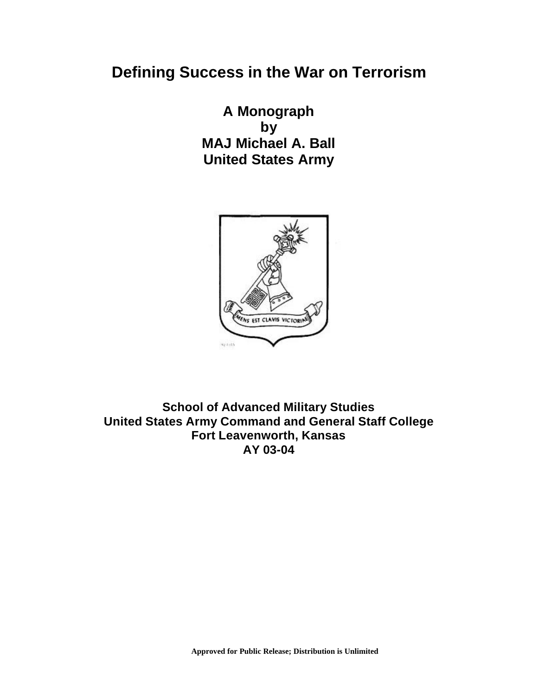# **Defining Success in the War on Terrorism**

**A Monograph by MAJ Michael A. Ball United States Army**



**School of Advanced Military Studies United States Army Command and General Staff College Fort Leavenworth, Kansas AY 03-04**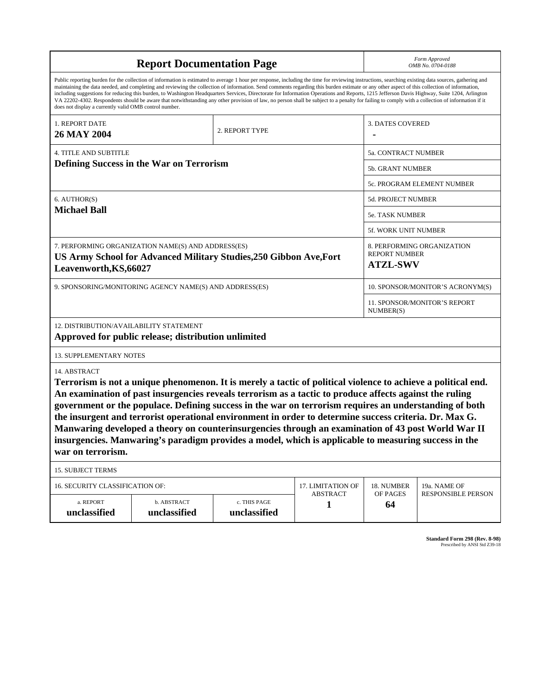| <b>Report Documentation Page</b>                                                                                                                                                                                                                                                                                                                                                                                                                                                                                                                                                                                                                                                                                                                                                                                                                                   |                             |                                                                       |                                      |                                  | Form Approved<br>OMB No. 0704-0188        |  |  |
|--------------------------------------------------------------------------------------------------------------------------------------------------------------------------------------------------------------------------------------------------------------------------------------------------------------------------------------------------------------------------------------------------------------------------------------------------------------------------------------------------------------------------------------------------------------------------------------------------------------------------------------------------------------------------------------------------------------------------------------------------------------------------------------------------------------------------------------------------------------------|-----------------------------|-----------------------------------------------------------------------|--------------------------------------|----------------------------------|-------------------------------------------|--|--|
| Public reporting burden for the collection of information is estimated to average 1 hour per response, including the time for reviewing instructions, searching existing data sources, gathering and<br>maintaining the data needed, and completing and reviewing the collection of information. Send comments regarding this burden estimate or any other aspect of this collection of information,<br>including suggestions for reducing this burden, to Washington Headquarters Services, Directorate for Information Operations and Reports, 1215 Jefferson Davis Highway, Suite 1204, Arlington<br>VA 22202-4302. Respondents should be aware that notwithstanding any other provision of law, no person shall be subject to a penalty for failing to comply with a collection of information if it<br>does not display a currently valid OMB control number. |                             |                                                                       |                                      |                                  |                                           |  |  |
| 1. REPORT DATE<br>26 MAY 2004                                                                                                                                                                                                                                                                                                                                                                                                                                                                                                                                                                                                                                                                                                                                                                                                                                      |                             | 2. REPORT TYPE                                                        |                                      | <b>3. DATES COVERED</b>          |                                           |  |  |
| <b>4. TITLE AND SUBTITLE</b>                                                                                                                                                                                                                                                                                                                                                                                                                                                                                                                                                                                                                                                                                                                                                                                                                                       |                             |                                                                       |                                      | 5a. CONTRACT NUMBER              |                                           |  |  |
| Defining Success in the War on Terrorism                                                                                                                                                                                                                                                                                                                                                                                                                                                                                                                                                                                                                                                                                                                                                                                                                           |                             |                                                                       |                                      | 5b. GRANT NUMBER                 |                                           |  |  |
|                                                                                                                                                                                                                                                                                                                                                                                                                                                                                                                                                                                                                                                                                                                                                                                                                                                                    |                             |                                                                       |                                      | 5c. PROGRAM ELEMENT NUMBER       |                                           |  |  |
| 6. AUTHOR(S)                                                                                                                                                                                                                                                                                                                                                                                                                                                                                                                                                                                                                                                                                                                                                                                                                                                       |                             |                                                                       |                                      | 5d. PROJECT NUMBER               |                                           |  |  |
| <b>Michael Ball</b>                                                                                                                                                                                                                                                                                                                                                                                                                                                                                                                                                                                                                                                                                                                                                                                                                                                |                             |                                                                       |                                      | 5e. TASK NUMBER                  |                                           |  |  |
|                                                                                                                                                                                                                                                                                                                                                                                                                                                                                                                                                                                                                                                                                                                                                                                                                                                                    |                             |                                                                       |                                      | 5f. WORK UNIT NUMBER             |                                           |  |  |
| 7. PERFORMING ORGANIZATION NAME(S) AND ADDRESS(ES)<br>US Army School for Advanced Military Studies, 250 Gibbon Ave, Fort<br>Leavenworth, KS, 66027                                                                                                                                                                                                                                                                                                                                                                                                                                                                                                                                                                                                                                                                                                                 |                             | 8. PERFORMING ORGANIZATION<br><b>REPORT NUMBER</b><br><b>ATZL-SWV</b> |                                      |                                  |                                           |  |  |
| 9. SPONSORING/MONITORING AGENCY NAME(S) AND ADDRESS(ES)                                                                                                                                                                                                                                                                                                                                                                                                                                                                                                                                                                                                                                                                                                                                                                                                            |                             |                                                                       |                                      | 10. SPONSOR/MONITOR'S ACRONYM(S) |                                           |  |  |
|                                                                                                                                                                                                                                                                                                                                                                                                                                                                                                                                                                                                                                                                                                                                                                                                                                                                    |                             | <b>11. SPONSOR/MONITOR'S REPORT</b><br>NUMBER(S)                      |                                      |                                  |                                           |  |  |
| 12. DISTRIBUTION/AVAILABILITY STATEMENT<br>Approved for public release; distribution unlimited                                                                                                                                                                                                                                                                                                                                                                                                                                                                                                                                                                                                                                                                                                                                                                     |                             |                                                                       |                                      |                                  |                                           |  |  |
| <b>13. SUPPLEMENTARY NOTES</b>                                                                                                                                                                                                                                                                                                                                                                                                                                                                                                                                                                                                                                                                                                                                                                                                                                     |                             |                                                                       |                                      |                                  |                                           |  |  |
| 14. ABSTRACT<br>Terrorism is not a unique phenomenon. It is merely a tactic of political violence to achieve a political end.<br>An examination of past insurgencies reveals terrorism as a tactic to produce affects against the ruling<br>government or the populace. Defining success in the war on terrorism requires an understanding of both<br>the insurgent and terrorist operational environment in order to determine success criteria. Dr. Max G.<br>Manwaring developed a theory on counterinsurgencies through an examination of 43 post World War II<br>insurgencies. Manwaring's paradigm provides a model, which is applicable to measuring success in the<br>war on terrorism.                                                                                                                                                                    |                             |                                                                       |                                      |                                  |                                           |  |  |
| <b>15. SUBJECT TERMS</b>                                                                                                                                                                                                                                                                                                                                                                                                                                                                                                                                                                                                                                                                                                                                                                                                                                           |                             |                                                                       |                                      |                                  |                                           |  |  |
| 16. SECURITY CLASSIFICATION OF:                                                                                                                                                                                                                                                                                                                                                                                                                                                                                                                                                                                                                                                                                                                                                                                                                                    |                             |                                                                       | 17. LIMITATION OF<br><b>ABSTRACT</b> | 18. NUMBER<br>OF PAGES           | 19a. NAME OF<br><b>RESPONSIBLE PERSON</b> |  |  |
| a. REPORT<br>unclassified                                                                                                                                                                                                                                                                                                                                                                                                                                                                                                                                                                                                                                                                                                                                                                                                                                          | b. ABSTRACT<br>unclassified | c. THIS PAGE<br>unclassified                                          | 1                                    | 64                               |                                           |  |  |

**Standard Form 298 (Rev. 8-98)**<br>Prescribed by ANSI Std Z39-18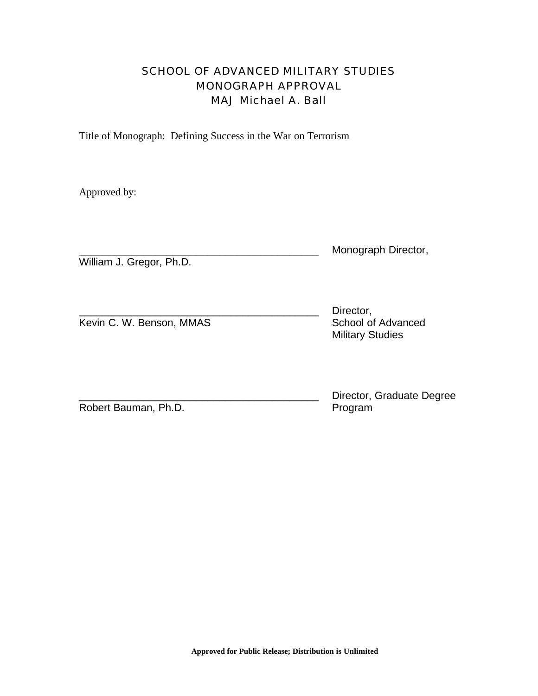# SCHOOL OF ADVANCED MILITARY STUDIES MONOGRAPH APPROVAL MAJ Michael A. Ball

Title of Monograph: Defining Success in the War on Terrorism

Approved by:

|                          | Monograph Director, |
|--------------------------|---------------------|
| William J. Gregor, Ph.D. |                     |

|                          | Director,               |
|--------------------------|-------------------------|
| Kevin C. W. Benson, MMAS | School of Advanced      |
|                          | <b>Military Studies</b> |

Director, Graduate Degree Program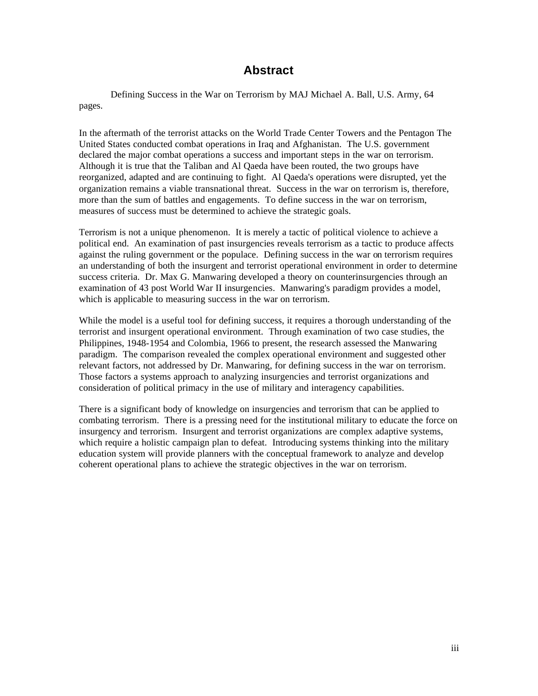# **Abstract**

Defining Success in the War on Terrorism by MAJ Michael A. Ball, U.S. Army, 64 pages.

In the aftermath of the terrorist attacks on the World Trade Center Towers and the Pentagon The United States conducted combat operations in Iraq and Afghanistan. The U.S. government declared the major combat operations a success and important steps in the war on terrorism. Although it is true that the Taliban and Al Qaeda have been routed, the two groups have reorganized, adapted and are continuing to fight. Al Qaeda's operations were disrupted, yet the organization remains a viable transnational threat. Success in the war on terrorism is, therefore, more than the sum of battles and engagements. To define success in the war on terrorism, measures of success must be determined to achieve the strategic goals.

Terrorism is not a unique phenomenon. It is merely a tactic of political violence to achieve a political end. An examination of past insurgencies reveals terrorism as a tactic to produce affects against the ruling government or the populace. Defining success in the war on terrorism requires an understanding of both the insurgent and terrorist operational environment in order to determine success criteria. Dr. Max G. Manwaring developed a theory on counterinsurgencies through an examination of 43 post World War II insurgencies. Manwaring's paradigm provides a model, which is applicable to measuring success in the war on terrorism.

While the model is a useful tool for defining success, it requires a thorough understanding of the terrorist and insurgent operational environment. Through examination of two case studies, the Philippines, 1948-1954 and Colombia, 1966 to present, the research assessed the Manwaring paradigm. The comparison revealed the complex operational environment and suggested other relevant factors, not addressed by Dr. Manwaring, for defining success in the war on terrorism. Those factors a systems approach to analyzing insurgencies and terrorist organizations and consideration of political primacy in the use of military and interagency capabilities.

There is a significant body of knowledge on insurgencies and terrorism that can be applied to combating terrorism. There is a pressing need for the institutional military to educate the force on insurgency and terrorism. Insurgent and terrorist organizations are complex adaptive systems, which require a holistic campaign plan to defeat. Introducing systems thinking into the military education system will provide planners with the conceptual framework to analyze and develop coherent operational plans to achieve the strategic objectives in the war on terrorism.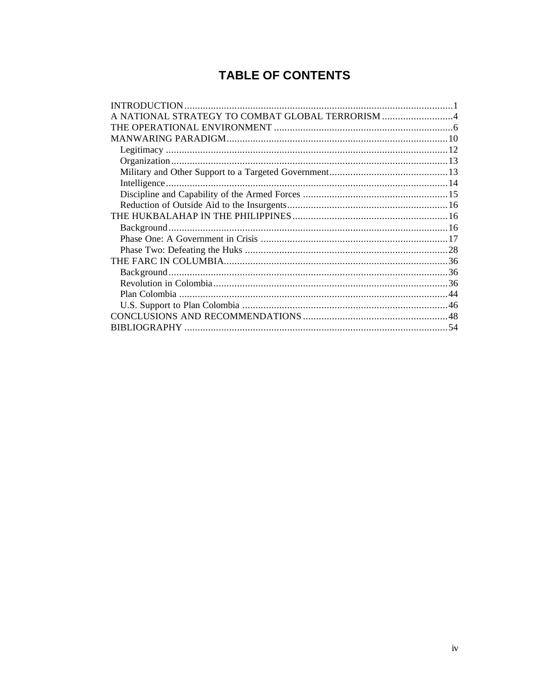# **TABLE OF CONTENTS**

| A NATIONAL STRATEGY TO COMBAT GLOBAL TERRORISM 4 |  |
|--------------------------------------------------|--|
|                                                  |  |
|                                                  |  |
|                                                  |  |
|                                                  |  |
|                                                  |  |
|                                                  |  |
|                                                  |  |
|                                                  |  |
|                                                  |  |
|                                                  |  |
|                                                  |  |
|                                                  |  |
|                                                  |  |
|                                                  |  |
|                                                  |  |
|                                                  |  |
|                                                  |  |
|                                                  |  |
|                                                  |  |
|                                                  |  |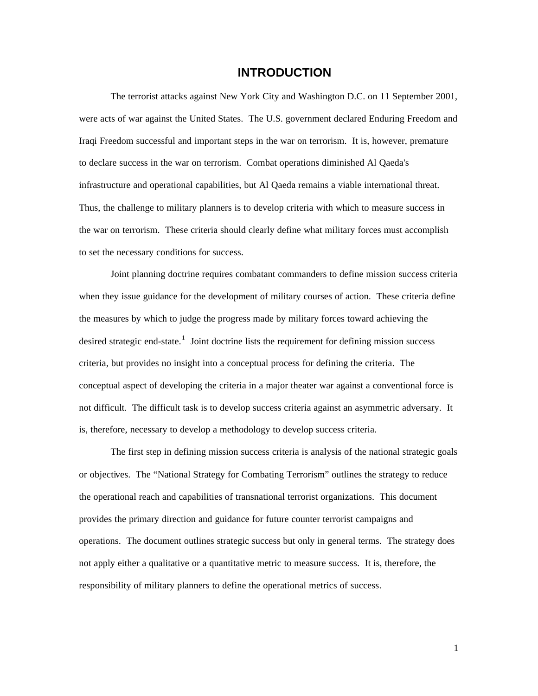### **INTRODUCTION**

The terrorist attacks against New York City and Washington D.C. on 11 September 2001, were acts of war against the United States. The U.S. government declared Enduring Freedom and Iraqi Freedom successful and important steps in the war on terrorism. It is, however, premature to declare success in the war on terrorism. Combat operations diminished Al Qaeda's infrastructure and operational capabilities, but Al Qaeda remains a viable international threat. Thus, the challenge to military planners is to develop criteria with which to measure success in the war on terrorism. These criteria should clearly define what military forces must accomplish to set the necessary conditions for success.

Joint planning doctrine requires combatant commanders to define mission success criteria when they issue guidance for the development of military courses of action. These criteria define the measures by which to judge the progress made by military forces toward achieving the desired strategic end-state.<sup>1</sup> Joint doctrine lists the requirement for defining mission success criteria, but provides no insight into a conceptual process for defining the criteria. The conceptual aspect of developing the criteria in a major theater war against a conventional force is not difficult. The difficult task is to develop success criteria against an asymmetric adversary. It is, therefore, necessary to develop a methodology to develop success criteria.

The first step in defining mission success criteria is analysis of the national strategic goals or objectives. The "National Strategy for Combating Terrorism" outlines the strategy to reduce the operational reach and capabilities of transnational terrorist organizations. This document provides the primary direction and guidance for future counter terrorist campaigns and operations. The document outlines strategic success but only in general terms. The strategy does not apply either a qualitative or a quantitative metric to measure success. It is, therefore, the responsibility of military planners to define the operational metrics of success.

1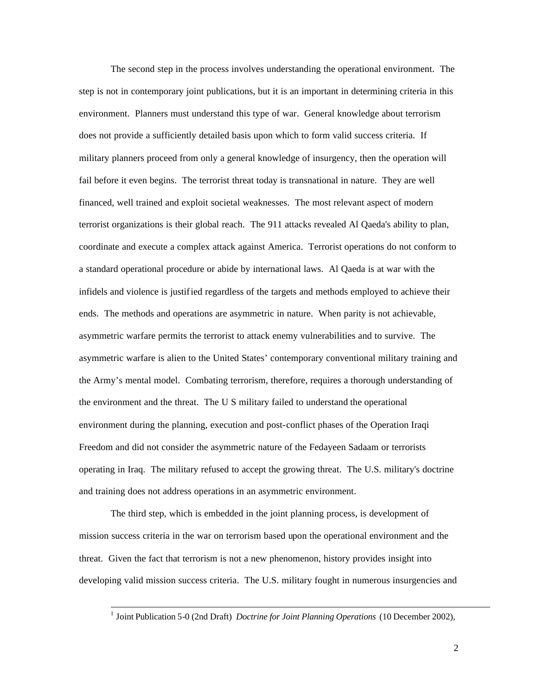The second step in the process involves understanding the operational environment. The step is not in contemporary joint publications, but it is an important in determining criteria in this environment. Planners must understand this type of war. General knowledge about terrorism does not provide a sufficiently detailed basis upon which to form valid success criteria. If military planners proceed from only a general knowledge of insurgency, then the operation will fail before it even begins. The terrorist threat today is transnational in nature. They are well financed, well trained and exploit societal weaknesses. The most relevant aspect of modern terrorist organizations is their global reach. The 911 attacks revealed Al Qaeda's ability to plan, coordinate and execute a complex attack against America. Terrorist operations do not conform to a standard operational procedure or abide by international laws. Al Qaeda is at war with the infidels and violence is justified regardless of the targets and methods employed to achieve their ends. The methods and operations are asymmetric in nature. When parity is not achievable, asymmetric warfare permits the terrorist to attack enemy vulnerabilities and to survive. The asymmetric warfare is alien to the United States' contemporary conventional military training and the Army's mental model. Combating terrorism, therefore, requires a thorough understanding of the environment and the threat. The U S military failed to understand the operational environment during the planning, execution and post-conflict phases of the Operation Iraqi Freedom and did not consider the asymmetric nature of the Fedayeen Sadaam or terrorists operating in Iraq. The military refused to accept the growing threat. The U.S. military's doctrine and training does not address operations in an asymmetric environment.

The third step, which is embedded in the joint planning process, is development of mission success criteria in the war on terrorism based upon the operational environment and the threat. Given the fact that terrorism is not a new phenomenon, history provides insight into developing valid mission success criteria. The U.S. military fought in numerous insurgencies and

 1 Joint Publication 5-0 (2nd Draft) *Doctrine for Joint Planning Operations* (10 December 2002),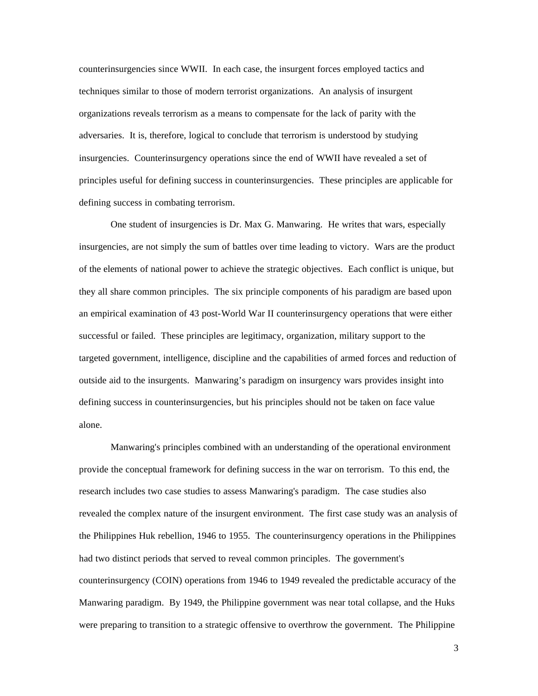counterinsurgencies since WWII. In each case, the insurgent forces employed tactics and techniques similar to those of modern terrorist organizations. An analysis of insurgent organizations reveals terrorism as a means to compensate for the lack of parity with the adversaries. It is, therefore, logical to conclude that terrorism is understood by studying insurgencies. Counterinsurgency operations since the end of WWII have revealed a set of principles useful for defining success in counterinsurgencies. These principles are applicable for defining success in combating terrorism.

One student of insurgencies is Dr. Max G. Manwaring. He writes that wars, especially insurgencies, are not simply the sum of battles over time leading to victory. Wars are the product of the elements of national power to achieve the strategic objectives. Each conflict is unique, but they all share common principles. The six principle components of his paradigm are based upon an empirical examination of 43 post-World War II counterinsurgency operations that were either successful or failed. These principles are legitimacy, organization, military support to the targeted government, intelligence, discipline and the capabilities of armed forces and reduction of outside aid to the insurgents. Manwaring's paradigm on insurgency wars provides insight into defining success in counterinsurgencies, but his principles should not be taken on face value alone.

Manwaring's principles combined with an understanding of the operational environment provide the conceptual framework for defining success in the war on terrorism. To this end, the research includes two case studies to assess Manwaring's paradigm. The case studies also revealed the complex nature of the insurgent environment. The first case study was an analysis of the Philippines Huk rebellion, 1946 to 1955. The counterinsurgency operations in the Philippines had two distinct periods that served to reveal common principles. The government's counterinsurgency (COIN) operations from 1946 to 1949 revealed the predictable accuracy of the Manwaring paradigm. By 1949, the Philippine government was near total collapse, and the Huks were preparing to transition to a strategic offensive to overthrow the government. The Philippine

3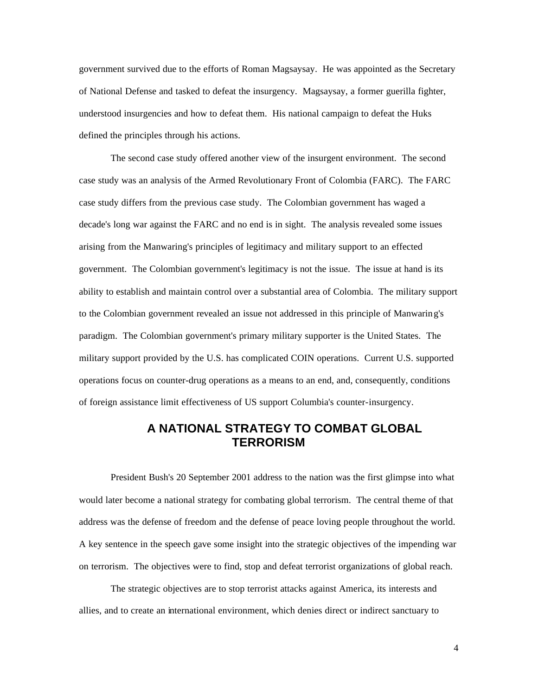government survived due to the efforts of Roman Magsaysay. He was appointed as the Secretary of National Defense and tasked to defeat the insurgency. Magsaysay, a former guerilla fighter, understood insurgencies and how to defeat them. His national campaign to defeat the Huks defined the principles through his actions.

The second case study offered another view of the insurgent environment. The second case study was an analysis of the Armed Revolutionary Front of Colombia (FARC). The FARC case study differs from the previous case study. The Colombian government has waged a decade's long war against the FARC and no end is in sight. The analysis revealed some issues arising from the Manwaring's principles of legitimacy and military support to an effected government. The Colombian government's legitimacy is not the issue. The issue at hand is its ability to establish and maintain control over a substantial area of Colombia. The military support to the Colombian government revealed an issue not addressed in this principle of Manwaring's paradigm. The Colombian government's primary military supporter is the United States. The military support provided by the U.S. has complicated COIN operations. Current U.S. supported operations focus on counter-drug operations as a means to an end, and, consequently, conditions of foreign assistance limit effectiveness of US support Columbia's counter-insurgency.

# **A NATIONAL STRATEGY TO COMBAT GLOBAL TERRORISM**

President Bush's 20 September 2001 address to the nation was the first glimpse into what would later become a national strategy for combating global terrorism. The central theme of that address was the defense of freedom and the defense of peace loving people throughout the world. A key sentence in the speech gave some insight into the strategic objectives of the impending war on terrorism. The objectives were to find, stop and defeat terrorist organizations of global reach.

The strategic objectives are to stop terrorist attacks against America, its interests and allies, and to create an international environment, which denies direct or indirect sanctuary to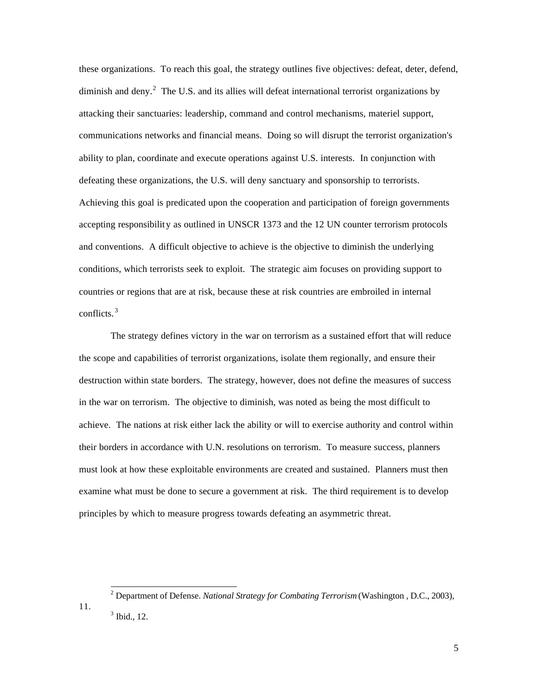these organizations. To reach this goal, the strategy outlines five objectives: defeat, deter, defend, diminish and deny.<sup>2</sup> The U.S. and its allies will defeat international terrorist organizations by attacking their sanctuaries: leadership, command and control mechanisms, materiel support, communications networks and financial means. Doing so will disrupt the terrorist organization's ability to plan, coordinate and execute operations against U.S. interests. In conjunction with defeating these organizations, the U.S. will deny sanctuary and sponsorship to terrorists. Achieving this goal is predicated upon the cooperation and participation of foreign governments accepting responsibility as outlined in UNSCR 1373 and the 12 UN counter terrorism protocols and conventions. A difficult objective to achieve is the objective to diminish the underlying conditions, which terrorists seek to exploit. The strategic aim focuses on providing support to countries or regions that are at risk, because these at risk countries are embroiled in internal conflicts. <sup>3</sup>

The strategy defines victory in the war on terrorism as a sustained effort that will reduce the scope and capabilities of terrorist organizations, isolate them regionally, and ensure their destruction within state borders. The strategy, however, does not define the measures of success in the war on terrorism. The objective to diminish, was noted as being the most difficult to achieve. The nations at risk either lack the ability or will to exercise authority and control within their borders in accordance with U.N. resolutions on terrorism. To measure success, planners must look at how these exploitable environments are created and sustained. Planners must then examine what must be done to secure a government at risk. The third requirement is to develop principles by which to measure progress towards defeating an asymmetric threat.

 2 Department of Defense. *National Strategy for Combating Terrorism* (Washington , D.C., 2003), 11.  $<sup>3</sup>$  Ibid., 12.</sup>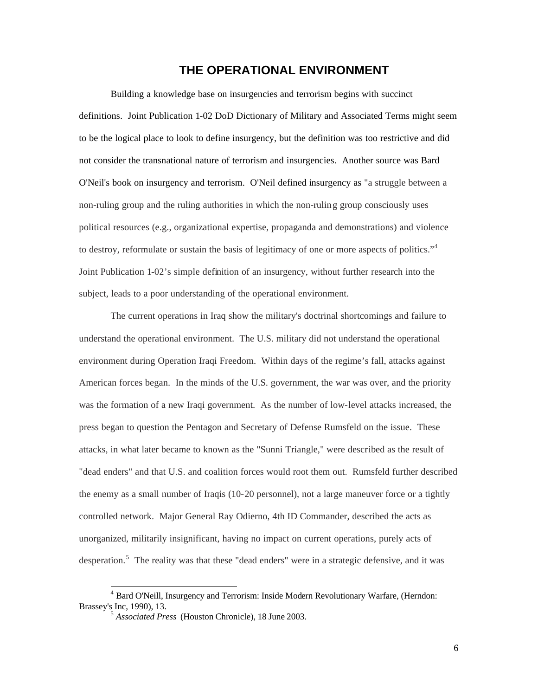## **THE OPERATIONAL ENVIRONMENT**

Building a knowledge base on insurgencies and terrorism begins with succinct definitions. Joint Publication 1-02 DoD Dictionary of Military and Associated Terms might seem to be the logical place to look to define insurgency, but the definition was too restrictive and did not consider the transnational nature of terrorism and insurgencies. Another source was Bard O'Neil's book on insurgency and terrorism. O'Neil defined insurgency as "a struggle between a non-ruling group and the ruling authorities in which the non-ruling group consciously uses political resources (e.g., organizational expertise, propaganda and demonstrations) and violence to destroy, reformulate or sustain the basis of legitimacy of one or more aspects of politics."<sup>4</sup> Joint Publication 1-02's simple definition of an insurgency, without further research into the subject, leads to a poor understanding of the operational environment.

The current operations in Iraq show the military's doctrinal shortcomings and failure to understand the operational environment. The U.S. military did not understand the operational environment during Operation Iraqi Freedom. Within days of the regime's fall, attacks against American forces began. In the minds of the U.S. government, the war was over, and the priority was the formation of a new Iraqi government. As the number of low-level attacks increased, the press began to question the Pentagon and Secretary of Defense Rumsfeld on the issue. These attacks, in what later became to known as the "Sunni Triangle," were described as the result of "dead enders" and that U.S. and coalition forces would root them out. Rumsfeld further described the enemy as a small number of Iraqis (10-20 personnel), not a large maneuver force or a tightly controlled network. Major General Ray Odierno, 4th ID Commander, described the acts as unorganized, militarily insignificant, having no impact on current operations, purely acts of desperation.<sup>5</sup> The reality was that these "dead enders" were in a strategic defensive, and it was

 4 Bard O'Neill, Insurgency and Terrorism: Inside Modern Revolutionary Warfare, (Herndon: Brassey's Inc, 1990), 13.

<sup>5</sup> *Associated Press* (Houston Chronicle), 18 June 2003.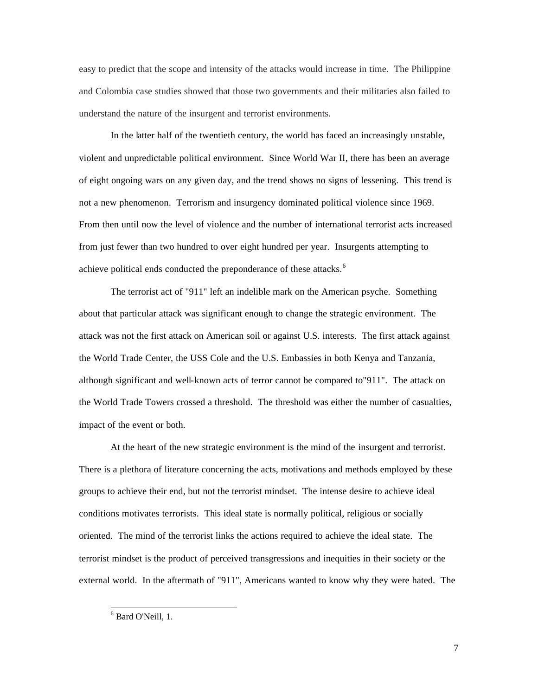easy to predict that the scope and intensity of the attacks would increase in time. The Philippine and Colombia case studies showed that those two governments and their militaries also failed to understand the nature of the insurgent and terrorist environments.

In the latter half of the twentieth century, the world has faced an increasingly unstable, violent and unpredictable political environment. Since World War II, there has been an average of eight ongoing wars on any given day, and the trend shows no signs of lessening. This trend is not a new phenomenon. Terrorism and insurgency dominated political violence since 1969. From then until now the level of violence and the number of international terrorist acts increased from just fewer than two hundred to over eight hundred per year. Insurgents attempting to achieve political ends conducted the preponderance of these attacks.<sup>6</sup>

The terrorist act of "911" left an indelible mark on the American psyche. Something about that particular attack was significant enough to change the strategic environment. The attack was not the first attack on American soil or against U.S. interests. The first attack against the World Trade Center, the USS Cole and the U.S. Embassies in both Kenya and Tanzania, although significant and well-known acts of terror cannot be compared to"911". The attack on the World Trade Towers crossed a threshold. The threshold was either the number of casualties, impact of the event or both.

At the heart of the new strategic environment is the mind of the insurgent and terrorist. There is a plethora of literature concerning the acts, motivations and methods employed by these groups to achieve their end, but not the terrorist mindset. The intense desire to achieve ideal conditions motivates terrorists. This ideal state is normally political, religious or socially oriented. The mind of the terrorist links the actions required to achieve the ideal state. The terrorist mindset is the product of perceived transgressions and inequities in their society or the external world. In the aftermath of "911", Americans wanted to know why they were hated. The

 6 Bard O'Neill, 1.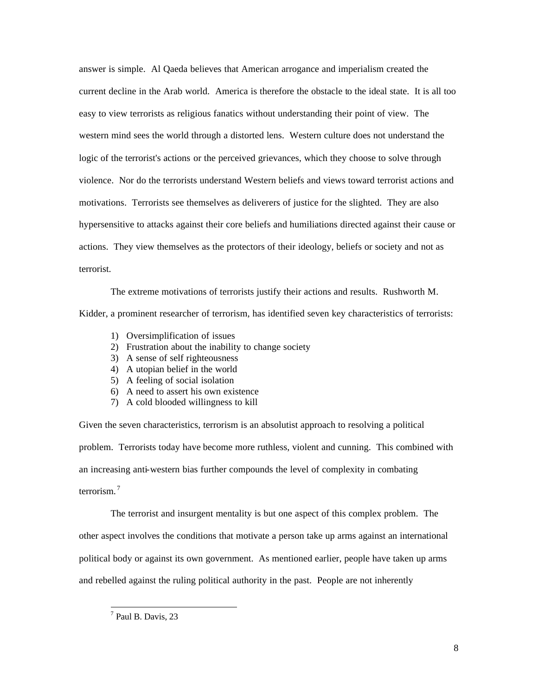answer is simple. Al Qaeda believes that American arrogance and imperialism created the current decline in the Arab world. America is therefore the obstacle to the ideal state. It is all too easy to view terrorists as religious fanatics without understanding their point of view. The western mind sees the world through a distorted lens. Western culture does not understand the logic of the terrorist's actions or the perceived grievances, which they choose to solve through violence. Nor do the terrorists understand Western beliefs and views toward terrorist actions and motivations. Terrorists see themselves as deliverers of justice for the slighted. They are also hypersensitive to attacks against their core beliefs and humiliations directed against their cause or actions. They view themselves as the protectors of their ideology, beliefs or society and not as terrorist.

The extreme motivations of terrorists justify their actions and results. Rushworth M. Kidder, a prominent researcher of terrorism, has identified seven key characteristics of terrorists:

- 1) Oversimplification of issues
- 2) Frustration about the inability to change society
- 3) A sense of self righteousness
- 4) A utopian belief in the world
- 5) A feeling of social isolation
- 6) A need to assert his own existence
- 7) A cold blooded willingness to kill

Given the seven characteristics, terrorism is an absolutist approach to resolving a political problem. Terrorists today have become more ruthless, violent and cunning. This combined with an increasing anti-western bias further compounds the level of complexity in combating terrorism. <sup>7</sup>

The terrorist and insurgent mentality is but one aspect of this complex problem. The other aspect involves the conditions that motivate a person take up arms against an international political body or against its own government. As mentioned earlier, people have taken up arms and rebelled against the ruling political authority in the past. People are not inherently

<sup>&</sup>lt;sup>7</sup> Paul B. Davis, 23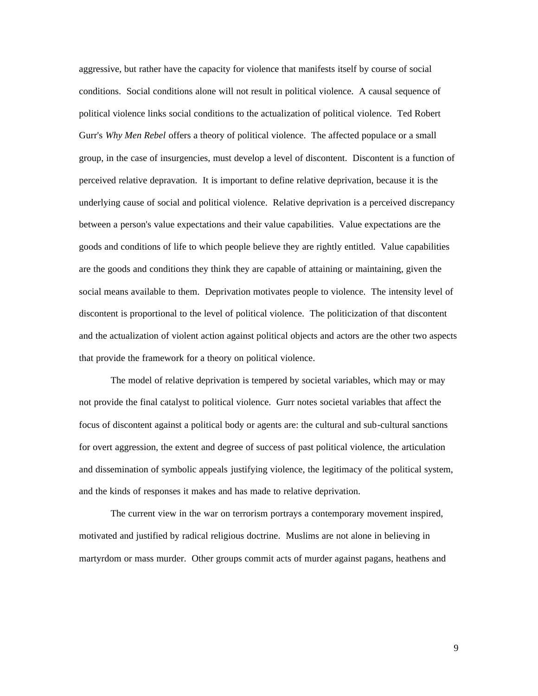aggressive, but rather have the capacity for violence that manifests itself by course of social conditions. Social conditions alone will not result in political violence. A causal sequence of political violence links social conditions to the actualization of political violence. Ted Robert Gurr's *Why Men Rebel* offers a theory of political violence. The affected populace or a small group, in the case of insurgencies, must develop a level of discontent. Discontent is a function of perceived relative depravation. It is important to define relative deprivation, because it is the underlying cause of social and political violence. Relative deprivation is a perceived discrepancy between a person's value expectations and their value capabilities. Value expectations are the goods and conditions of life to which people believe they are rightly entitled. Value capabilities are the goods and conditions they think they are capable of attaining or maintaining, given the social means available to them. Deprivation motivates people to violence. The intensity level of discontent is proportional to the level of political violence. The politicization of that discontent and the actualization of violent action against political objects and actors are the other two aspects that provide the framework for a theory on political violence.

The model of relative deprivation is tempered by societal variables, which may or may not provide the final catalyst to political violence. Gurr notes societal variables that affect the focus of discontent against a political body or agents are: the cultural and sub-cultural sanctions for overt aggression, the extent and degree of success of past political violence, the articulation and dissemination of symbolic appeals justifying violence, the legitimacy of the political system, and the kinds of responses it makes and has made to relative deprivation.

The current view in the war on terrorism portrays a contemporary movement inspired, motivated and justified by radical religious doctrine. Muslims are not alone in believing in martyrdom or mass murder. Other groups commit acts of murder against pagans, heathens and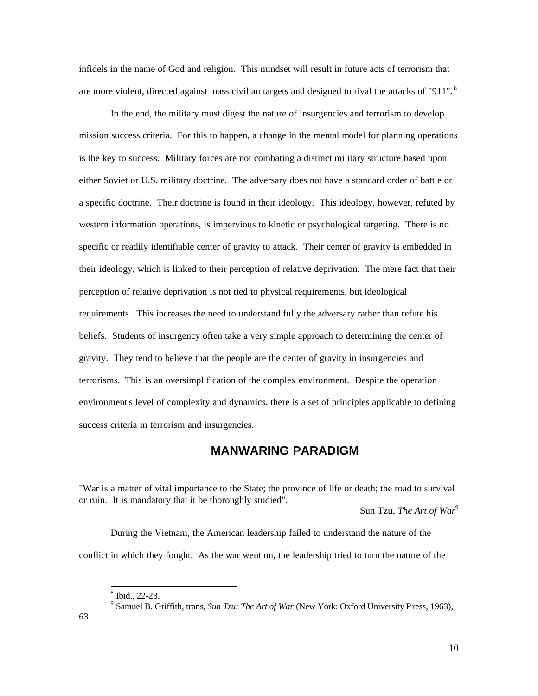infidels in the name of God and religion. This mindset will result in future acts of terrorism that are more violent, directed against mass civilian targets and designed to rival the attacks of "911".<sup>8</sup>

In the end, the military must digest the nature of insurgencies and terrorism to develop mission success criteria. For this to happen, a change in the mental model for planning operations is the key to success. Military forces are not combating a distinct military structure based upon either Soviet or U.S. military doctrine. The adversary does not have a standard order of battle or a specific doctrine. Their doctrine is found in their ideology. This ideology, however, refuted by western information operations, is impervious to kinetic or psychological targeting. There is no specific or readily identifiable center of gravity to attack. Their center of gravity is embedded in their ideology, which is linked to their perception of relative deprivation. The mere fact that their perception of relative deprivation is not tied to physical requirements, but ideological requirements. This increases the need to understand fully the adversary rather than refute his beliefs. Students of insurgency often take a very simple approach to determining the center of gravity. They tend to believe that the people are the center of gravity in insurgencies and terrorisms. This is an oversimplification of the complex environment. Despite the operation environment's level of complexity and dynamics, there is a set of principles applicable to defining success criteria in terrorism and insurgencies.

# **MANWARING PARADIGM**

"War is a matter of vital importance to the State; the province of life or death; the road to survival or ruin. It is mandatory that it be thoroughly studied".

Sun Tzu, *The Art of War*<sup>9</sup>

During the Vietnam, the American leadership failed to understand the nature of the conflict in which they fought. As the war went on, the leadership tried to turn the nature of the

 $\frac{1}{8}$  Ibid., 22-23.

<sup>9</sup> Samuel B. Griffith, trans, *Sun Tzu: The Art of War* (New York: Oxford University Press, 1963), 63.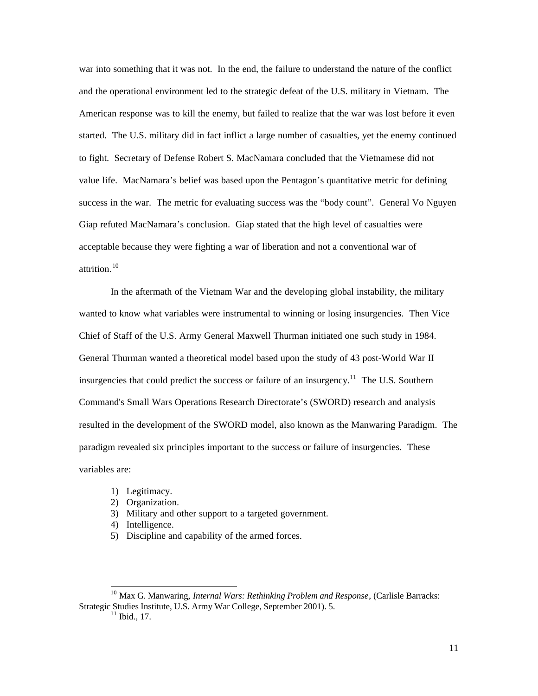war into something that it was not. In the end, the failure to understand the nature of the conflict and the operational environment led to the strategic defeat of the U.S. military in Vietnam. The American response was to kill the enemy, but failed to realize that the war was lost before it even started. The U.S. military did in fact inflict a large number of casualties, yet the enemy continued to fight. Secretary of Defense Robert S. MacNamara concluded that the Vietnamese did not value life. MacNamara's belief was based upon the Pentagon's quantitative metric for defining success in the war. The metric for evaluating success was the "body count". General Vo Nguyen Giap refuted MacNamara's conclusion. Giap stated that the high level of casualties were acceptable because they were fighting a war of liberation and not a conventional war of attrition.<sup>10</sup>

In the aftermath of the Vietnam War and the developing global instability, the military wanted to know what variables were instrumental to winning or losing insurgencies. Then Vice Chief of Staff of the U.S. Army General Maxwell Thurman initiated one such study in 1984. General Thurman wanted a theoretical model based upon the study of 43 post-World War II insurgencies that could predict the success or failure of an insurgency.<sup>11</sup> The U.S. Southern Command's Small Wars Operations Research Directorate's (SWORD) research and analysis resulted in the development of the SWORD model, also known as the Manwaring Paradigm. The paradigm revealed six principles important to the success or failure of insurgencies. These variables are:

- 1) Legitimacy.
- 2) Organization.
- 3) Military and other support to a targeted government.
- 4) Intelligence.
- 5) Discipline and capability of the armed forces.

<sup>10</sup> Max G. Manwaring, *Internal Wars: Rethinking Problem and Response*, (Carlisle Barracks: Strategic Studies Institute, U.S. Army War College, September 2001). 5.

 $11$  Ibid., 17.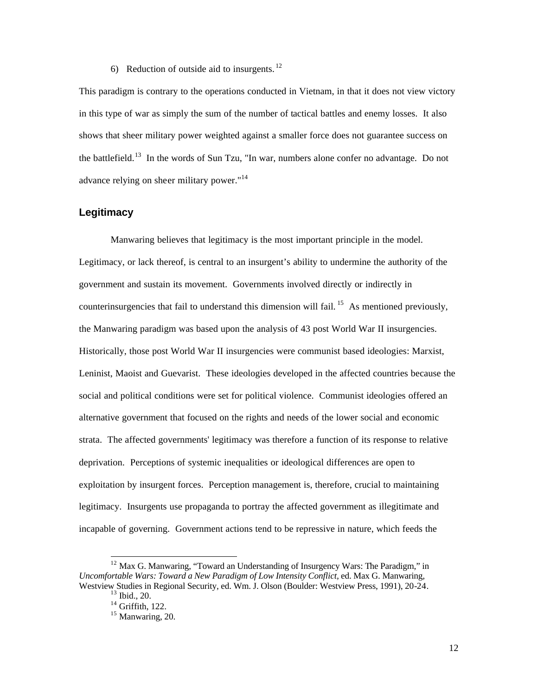#### 6) Reduction of outside aid to insurgents.  $^{12}$

This paradigm is contrary to the operations conducted in Vietnam, in that it does not view victory in this type of war as simply the sum of the number of tactical battles and enemy losses. It also shows that sheer military power weighted against a smaller force does not guarantee success on the battlefield.<sup>13</sup> In the words of Sun Tzu, "In war, numbers alone confer no advantage. Do not advance relying on sheer military power."<sup>14</sup>

#### **Legitimacy**

Manwaring believes that legitimacy is the most important principle in the model. Legitimacy, or lack thereof, is central to an insurgent's ability to undermine the authority of the government and sustain its movement. Governments involved directly or indirectly in counterinsurgencies that fail to understand this dimension will fail.<sup>15</sup> As mentioned previously, the Manwaring paradigm was based upon the analysis of 43 post World War II insurgencies. Historically, those post World War II insurgencies were communist based ideologies: Marxist, Leninist, Maoist and Guevarist. These ideologies developed in the affected countries because the social and political conditions were set for political violence. Communist ideologies offered an alternative government that focused on the rights and needs of the lower social and economic strata. The affected governments' legitimacy was therefore a function of its response to relative deprivation. Perceptions of systemic inequalities or ideological differences are open to exploitation by insurgent forces. Perception management is, therefore, crucial to maintaining legitimacy. Insurgents use propaganda to portray the affected government as illegitimate and incapable of governing. Government actions tend to be repressive in nature, which feeds the

l

 $12$  Max G. Manwaring, "Toward an Understanding of Insurgency Wars: The Paradigm," in *Uncomfortable Wars: Toward a New Paradigm of Low Intensity Conflict,* ed. Max G. Manwaring, Westview Studies in Regional Security, ed. Wm. J. Olson (Boulder: Westview Press, 1991), 20-24.

 $13$  Ibid., 20.

 $14$  Griffith, 122.

<sup>&</sup>lt;sup>15</sup> Manwaring, 20.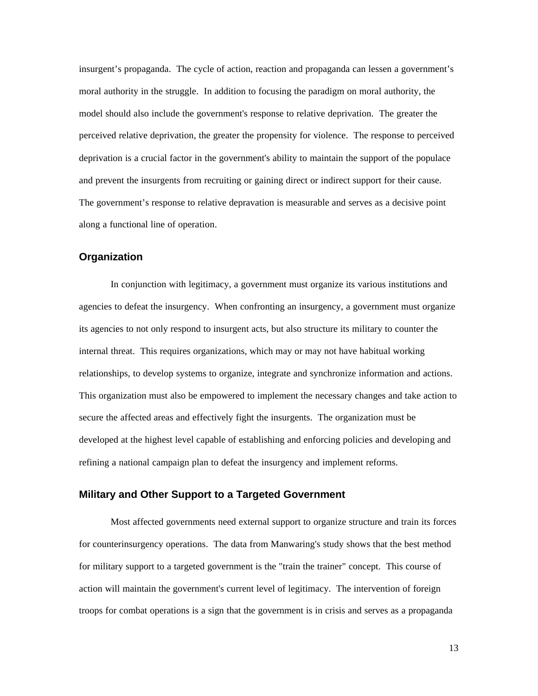insurgent's propaganda. The cycle of action, reaction and propaganda can lessen a government's moral authority in the struggle. In addition to focusing the paradigm on moral authority, the model should also include the government's response to relative deprivation. The greater the perceived relative deprivation, the greater the propensity for violence. The response to perceived deprivation is a crucial factor in the government's ability to maintain the support of the populace and prevent the insurgents from recruiting or gaining direct or indirect support for their cause. The government's response to relative depravation is measurable and serves as a decisive point along a functional line of operation.

#### **Organization**

In conjunction with legitimacy, a government must organize its various institutions and agencies to defeat the insurgency. When confronting an insurgency, a government must organize its agencies to not only respond to insurgent acts, but also structure its military to counter the internal threat. This requires organizations, which may or may not have habitual working relationships, to develop systems to organize, integrate and synchronize information and actions. This organization must also be empowered to implement the necessary changes and take action to secure the affected areas and effectively fight the insurgents. The organization must be developed at the highest level capable of establishing and enforcing policies and developing and refining a national campaign plan to defeat the insurgency and implement reforms.

#### **Military and Other Support to a Targeted Government**

Most affected governments need external support to organize structure and train its forces for counterinsurgency operations. The data from Manwaring's study shows that the best method for military support to a targeted government is the "train the trainer" concept. This course of action will maintain the government's current level of legitimacy. The intervention of foreign troops for combat operations is a sign that the government is in crisis and serves as a propaganda

13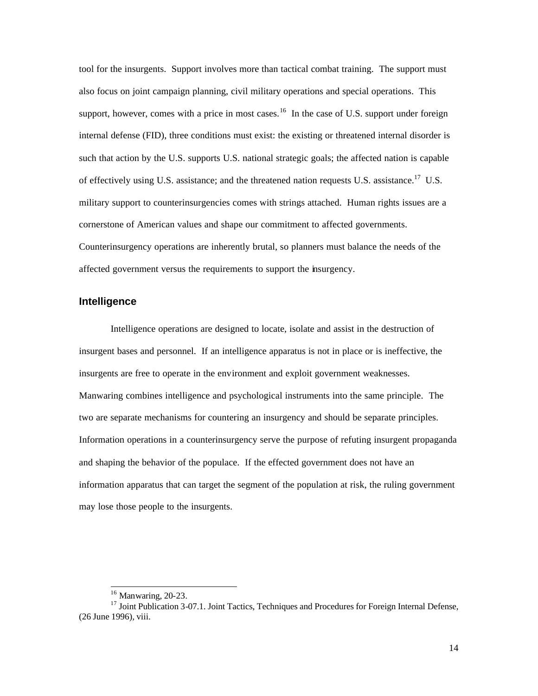tool for the insurgents. Support involves more than tactical combat training. The support must also focus on joint campaign planning, civil military operations and special operations. This support, however, comes with a price in most cases.<sup>16</sup> In the case of U.S. support under foreign internal defense (FID), three conditions must exist: the existing or threatened internal disorder is such that action by the U.S. supports U.S. national strategic goals; the affected nation is capable of effectively using U.S. assistance; and the threatened nation requests U.S. assistance.<sup>17</sup> U.S. military support to counterinsurgencies comes with strings attached. Human rights issues are a cornerstone of American values and shape our commitment to affected governments. Counterinsurgency operations are inherently brutal, so planners must balance the needs of the affected government versus the requirements to support the insurgency.

#### **Intelligence**

Intelligence operations are designed to locate, isolate and assist in the destruction of insurgent bases and personnel. If an intelligence apparatus is not in place or is ineffective, the insurgents are free to operate in the environment and exploit government weaknesses. Manwaring combines intelligence and psychological instruments into the same principle. The two are separate mechanisms for countering an insurgency and should be separate principles. Information operations in a counterinsurgency serve the purpose of refuting insurgent propaganda and shaping the behavior of the populace. If the effected government does not have an information apparatus that can target the segment of the population at risk, the ruling government may lose those people to the insurgents.

 $16$  Manwaring, 20-23.

<sup>&</sup>lt;sup>17</sup> Joint Publication 3-07.1. Joint Tactics, Techniques and Procedures for Foreign Internal Defense, (26 June 1996), viii.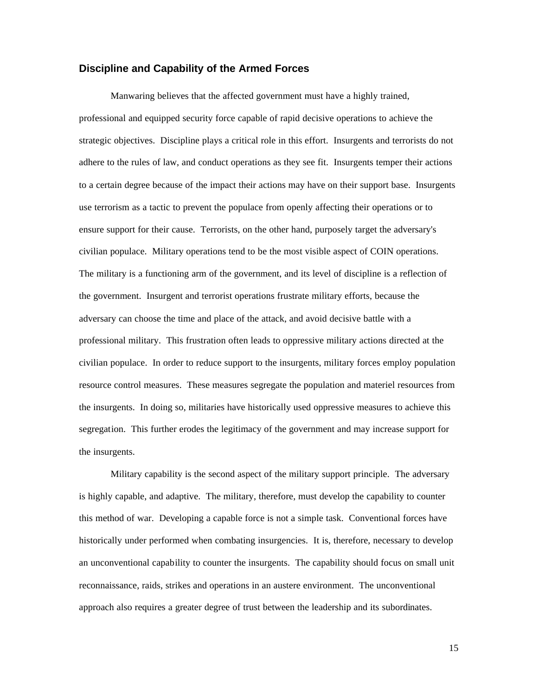#### **Discipline and Capability of the Armed Forces**

Manwaring believes that the affected government must have a highly trained, professional and equipped security force capable of rapid decisive operations to achieve the strategic objectives. Discipline plays a critical role in this effort. Insurgents and terrorists do not adhere to the rules of law, and conduct operations as they see fit. Insurgents temper their actions to a certain degree because of the impact their actions may have on their support base. Insurgents use terrorism as a tactic to prevent the populace from openly affecting their operations or to ensure support for their cause. Terrorists, on the other hand, purposely target the adversary's civilian populace. Military operations tend to be the most visible aspect of COIN operations. The military is a functioning arm of the government, and its level of discipline is a reflection of the government. Insurgent and terrorist operations frustrate military efforts, because the adversary can choose the time and place of the attack, and avoid decisive battle with a professional military. This frustration often leads to oppressive military actions directed at the civilian populace. In order to reduce support to the insurgents, military forces employ population resource control measures. These measures segregate the population and materiel resources from the insurgents. In doing so, militaries have historically used oppressive measures to achieve this segregation. This further erodes the legitimacy of the government and may increase support for the insurgents.

Military capability is the second aspect of the military support principle. The adversary is highly capable, and adaptive. The military, therefore, must develop the capability to counter this method of war. Developing a capable force is not a simple task. Conventional forces have historically under performed when combating insurgencies. It is, therefore, necessary to develop an unconventional capability to counter the insurgents. The capability should focus on small unit reconnaissance, raids, strikes and operations in an austere environment. The unconventional approach also requires a greater degree of trust between the leadership and its subordinates.

15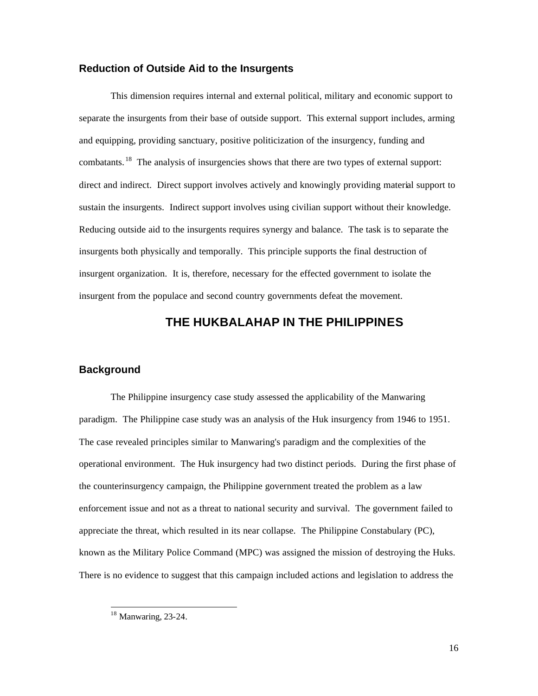#### **Reduction of Outside Aid to the Insurgents**

This dimension requires internal and external political, military and economic support to separate the insurgents from their base of outside support. This external support includes, arming and equipping, providing sanctuary, positive politicization of the insurgency, funding and combatants.<sup>18</sup> The analysis of insurgencies shows that there are two types of external support: direct and indirect. Direct support involves actively and knowingly providing material support to sustain the insurgents. Indirect support involves using civilian support without their knowledge. Reducing outside aid to the insurgents requires synergy and balance. The task is to separate the insurgents both physically and temporally. This principle supports the final destruction of insurgent organization. It is, therefore, necessary for the effected government to isolate the insurgent from the populace and second country governments defeat the movement.

# **THE HUKBALAHAP IN THE PHILIPPINES**

#### **Background**

The Philippine insurgency case study assessed the applicability of the Manwaring paradigm. The Philippine case study was an analysis of the Huk insurgency from 1946 to 1951. The case revealed principles similar to Manwaring's paradigm and the complexities of the operational environment. The Huk insurgency had two distinct periods. During the first phase of the counterinsurgency campaign, the Philippine government treated the problem as a law enforcement issue and not as a threat to national security and survival. The government failed to appreciate the threat, which resulted in its near collapse. The Philippine Constabulary (PC), known as the Military Police Command (MPC) was assigned the mission of destroying the Huks. There is no evidence to suggest that this campaign included actions and legislation to address the

<u>.</u>

 $18$  Manwaring, 23-24.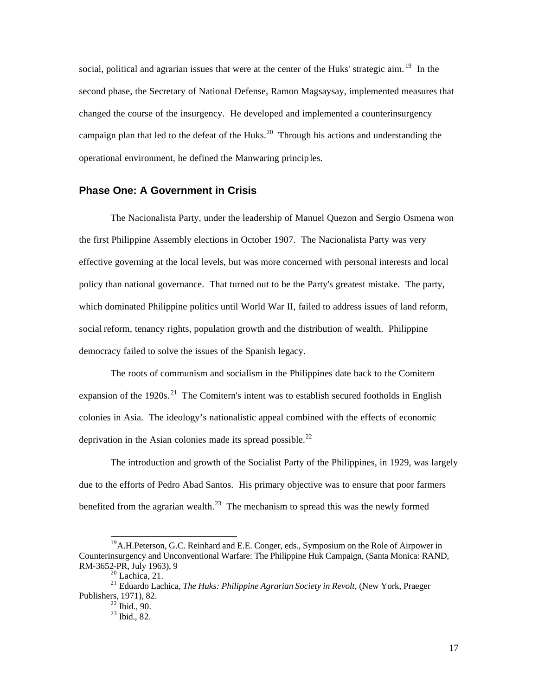social, political and agrarian issues that were at the center of the Huks' strategic aim. <sup>19</sup> In the second phase, the Secretary of National Defense, Ramon Magsaysay, implemented measures that changed the course of the insurgency. He developed and implemented a counterinsurgency campaign plan that led to the defeat of the Huks.<sup>20</sup> Through his actions and understanding the operational environment, he defined the Manwaring principles.

## **Phase One: A Government in Crisis**

The Nacionalista Party, under the leadership of Manuel Quezon and Sergio Osmena won the first Philippine Assembly elections in October 1907. The Nacionalista Party was very effective governing at the local levels, but was more concerned with personal interests and local policy than national governance. That turned out to be the Party's greatest mistake. The party, which dominated Philippine politics until World War II, failed to address issues of land reform, social reform, tenancy rights, population growth and the distribution of wealth. Philippine democracy failed to solve the issues of the Spanish legacy.

The roots of communism and socialism in the Philippines date back to the Comitern expansion of the 1920s. <sup>21</sup> The Comitern's intent was to establish secured footholds in English colonies in Asia. The ideology's nationalistic appeal combined with the effects of economic deprivation in the Asian colonies made its spread possible.<sup>22</sup>

The introduction and growth of the Socialist Party of the Philippines, in 1929, was largely due to the efforts of Pedro Abad Santos. His primary objective was to ensure that poor farmers benefited from the agrarian wealth. $^{23}$  The mechanism to spread this was the newly formed

<sup>&</sup>lt;sup>19</sup> A.H.Peterson, G.C. Reinhard and E.E. Conger, eds., Symposium on the Role of Airpower in Counterinsurgency and Unconventional Warfare: The Philippine Huk Campaign, (Santa Monica: RAND, RM-3652-PR, July 1963), 9

 $20$  Lachica, 21.

<sup>21</sup> Eduardo Lachica, *The Huks: Philippine Agrarian Society in Revolt*, (New York, Praeger Publishers, 1971), 82.

 $22$  Ibid., 90.

 $^{23}$  Ibid., 82.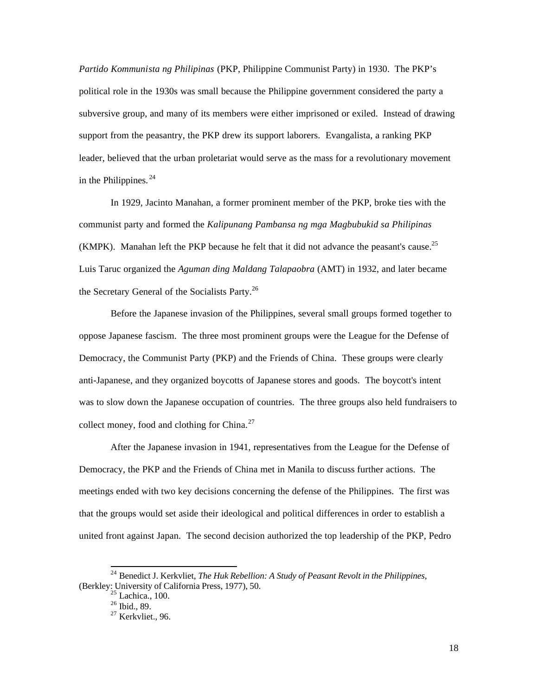*Partido Kommunista ng Philipinas* (PKP, Philippine Communist Party) in 1930. The PKP's political role in the 1930s was small because the Philippine government considered the party a subversive group, and many of its members were either imprisoned or exiled. Instead of drawing support from the peasantry, the PKP drew its support laborers. Evangalista, a ranking PKP leader, believed that the urban proletariat would serve as the mass for a revolutionary movement in the Philippines.  $24$ 

In 1929, Jacinto Manahan, a former prominent member of the PKP, broke ties with the communist party and formed the *Kalipunang Pambansa ng mga Magbubukid sa Philipinas*  (KMPK). Manahan left the PKP because he felt that it did not advance the peasant's cause.<sup>25</sup> Luis Taruc organized the *Aguman ding Maldang Talapaobra* (AMT) in 1932, and later became the Secretary General of the Socialists Party.<sup>26</sup>

Before the Japanese invasion of the Philippines, several small groups formed together to oppose Japanese fascism. The three most prominent groups were the League for the Defense of Democracy, the Communist Party (PKP) and the Friends of China. These groups were clearly anti-Japanese, and they organized boycotts of Japanese stores and goods. The boycott's intent was to slow down the Japanese occupation of countries. The three groups also held fundraisers to collect money, food and clothing for China. $27$ 

After the Japanese invasion in 1941, representatives from the League for the Defense of Democracy, the PKP and the Friends of China met in Manila to discuss further actions. The meetings ended with two key decisions concerning the defense of the Philippines. The first was that the groups would set aside their ideological and political differences in order to establish a united front against Japan. The second decision authorized the top leadership of the PKP, Pedro

<u>.</u>

<sup>24</sup> Benedict J. Kerkvliet, *The Huk Rebellion: A Study of Peasant Revolt in the Philippines,*  (Berkley: University of California Press, 1977), 50.

 $<sup>5</sup>$  Lachica., 100.</sup>

 $^{26}$  Ibid., 89.

 $27$  Kerkvliet., 96.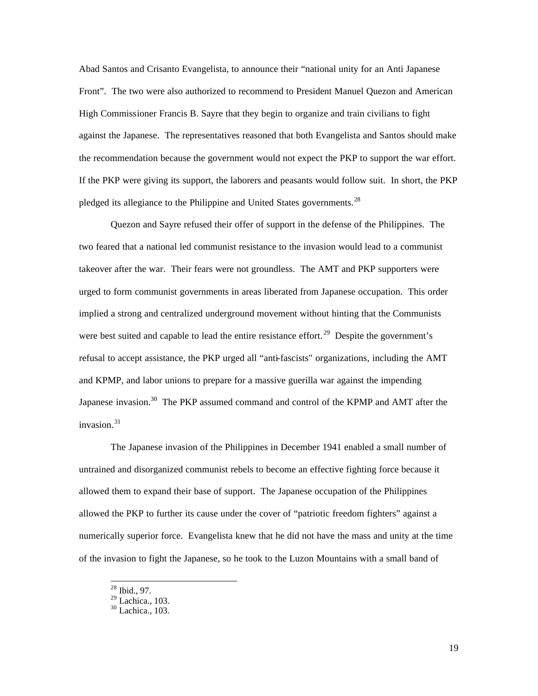Abad Santos and Crisanto Evangelista, to announce their "national unity for an Anti Japanese Front". The two were also authorized to recommend to President Manuel Quezon and American High Commissioner Francis B. Sayre that they begin to organize and train civilians to fight against the Japanese. The representatives reasoned that both Evangelista and Santos should make the recommendation because the government would not expect the PKP to support the war effort. If the PKP were giving its support, the laborers and peasants would follow suit. In short, the PKP pledged its allegiance to the Philippine and United States governments.<sup>28</sup>

Quezon and Sayre refused their offer of support in the defense of the Philippines. The two feared that a national led communist resistance to the invasion would lead to a communist takeover after the war. Their fears were not groundless. The AMT and PKP supporters were urged to form communist governments in areas liberated from Japanese occupation. This order implied a strong and centralized underground movement without hinting that the Communists were best suited and capable to lead the entire resistance effort.<sup>29</sup> Despite the government's refusal to accept assistance, the PKP urged all "anti-fascists" organizations, including the AMT and KPMP, and labor unions to prepare for a massive guerilla war against the impending Japanese invasion.<sup>30</sup> The PKP assumed command and control of the KPMP and AMT after the invasion. $31$ 

The Japanese invasion of the Philippines in December 1941 enabled a small number of untrained and disorganized communist rebels to become an effective fighting force because it allowed them to expand their base of support. The Japanese occupation of the Philippines allowed the PKP to further its cause under the cover of "patriotic freedom fighters" against a numerically superior force. Evangelista knew that he did not have the mass and unity at the time of the invasion to fight the Japanese, so he took to the Luzon Mountains with a small band of

 $28$  Ibid., 97.

 $29$  Lachica., 103.

 $30$  Lachica., 103.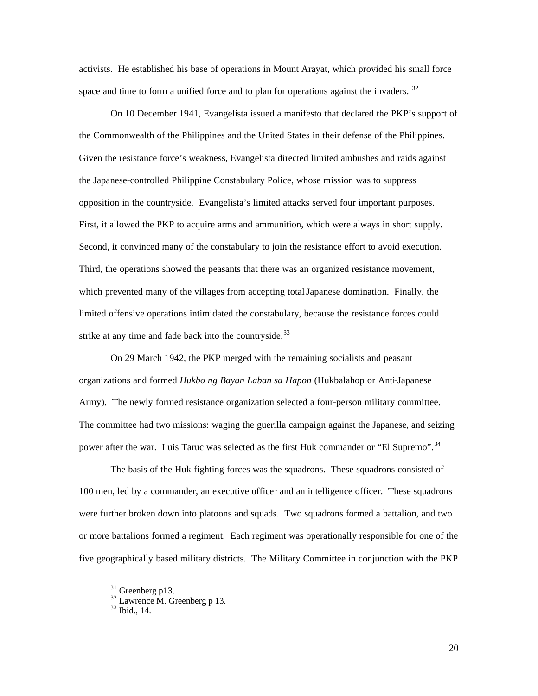activists. He established his base of operations in Mount Arayat, which provided his small force space and time to form a unified force and to plan for operations against the invaders.  $32$ 

On 10 December 1941, Evangelista issued a manifesto that declared the PKP's support of the Commonwealth of the Philippines and the United States in their defense of the Philippines. Given the resistance force's weakness, Evangelista directed limited ambushes and raids against the Japanese-controlled Philippine Constabulary Police, whose mission was to suppress opposition in the countryside. Evangelista's limited attacks served four important purposes. First, it allowed the PKP to acquire arms and ammunition, which were always in short supply. Second, it convinced many of the constabulary to join the resistance effort to avoid execution. Third, the operations showed the peasants that there was an organized resistance movement, which prevented many of the villages from accepting total Japanese domination. Finally, the limited offensive operations intimidated the constabulary, because the resistance forces could strike at any time and fade back into the countryside. $33$ 

On 29 March 1942, the PKP merged with the remaining socialists and peasant organizations and formed *Hukbo ng Bayan Laban sa Hapon* (Hukbalahop or Anti-Japanese Army). The newly formed resistance organization selected a four-person military committee. The committee had two missions: waging the guerilla campaign against the Japanese, and seizing power after the war. Luis Taruc was selected as the first Huk commander or "El Supremo".<sup>34</sup>

The basis of the Huk fighting forces was the squadrons. These squadrons consisted of 100 men, led by a commander, an executive officer and an intelligence officer. These squadrons were further broken down into platoons and squads. Two squadrons formed a battalion, and two or more battalions formed a regiment. Each regiment was operationally responsible for one of the five geographically based military districts. The Military Committee in conjunction with the PKP

 $31$  Greenberg p13.

 $32$  Lawrence M. Greenberg p 13.

 $33$  Ibid., 14.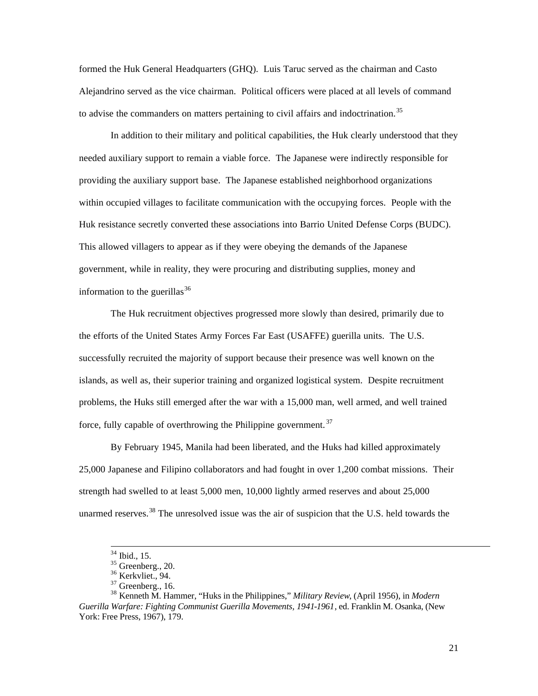formed the Huk General Headquarters (GHQ). Luis Taruc served as the chairman and Casto Alejandrino served as the vice chairman. Political officers were placed at all levels of command to advise the commanders on matters pertaining to civil affairs and indoctrination.<sup>35</sup>

In addition to their military and political capabilities, the Huk clearly understood that they needed auxiliary support to remain a viable force. The Japanese were indirectly responsible for providing the auxiliary support base. The Japanese established neighborhood organizations within occupied villages to facilitate communication with the occupying forces. People with the Huk resistance secretly converted these associations into Barrio United Defense Corps (BUDC). This allowed villagers to appear as if they were obeying the demands of the Japanese government, while in reality, they were procuring and distributing supplies, money and information to the guerillas  $36$ 

The Huk recruitment objectives progressed more slowly than desired, primarily due to the efforts of the United States Army Forces Far East (USAFFE) guerilla units. The U.S. successfully recruited the majority of support because their presence was well known on the islands, as well as, their superior training and organized logistical system. Despite recruitment problems, the Huks still emerged after the war with a 15,000 man, well armed, and well trained force, fully capable of overthrowing the Philippine government. <sup>37</sup>

By February 1945, Manila had been liberated, and the Huks had killed approximately 25,000 Japanese and Filipino collaborators and had fought in over 1,200 combat missions. Their strength had swelled to at least 5,000 men, 10,000 lightly armed reserves and about 25,000 unarmed reserves.<sup>38</sup> The unresolved issue was the air of suspicion that the U.S. held towards the

 $34$  Ibid., 15.

 $35$  Greenberg., 20.

<sup>&</sup>lt;sup>36</sup> Kerkvliet., 94.

 $37$  Greenberg., 16.

<sup>38</sup> Kenneth M. Hammer, "Huks in the Philippines," *Military Review*, (April 1956), in *Modern Guerilla Warfare: Fighting Communist Guerilla Movements, 1941-1961*, ed. Franklin M. Osanka, (New York: Free Press, 1967), 179.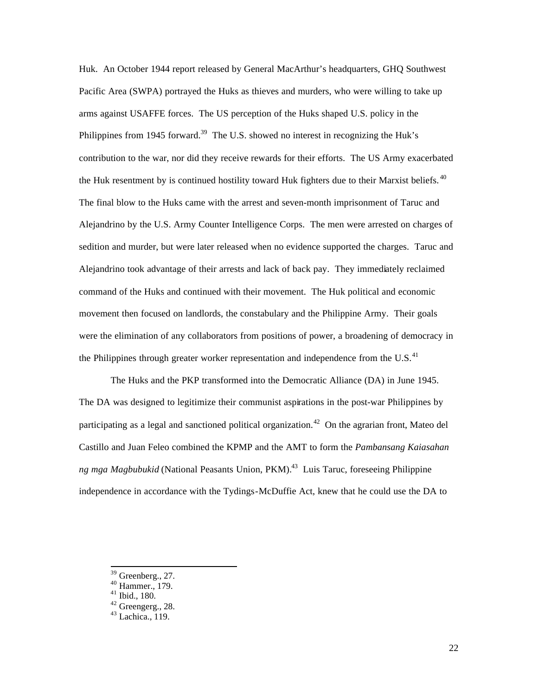Huk. An October 1944 report released by General MacArthur's headquarters, GHQ Southwest Pacific Area (SWPA) portrayed the Huks as thieves and murders, who were willing to take up arms against USAFFE forces. The US perception of the Huks shaped U.S. policy in the Philippines from 1945 forward.<sup>39</sup> The U.S. showed no interest in recognizing the Huk's contribution to the war, nor did they receive rewards for their efforts. The US Army exacerbated the Huk resentment by is continued hostility toward Huk fighters due to their Marxist beliefs.<sup>40</sup> The final blow to the Huks came with the arrest and seven-month imprisonment of Taruc and Alejandrino by the U.S. Army Counter Intelligence Corps. The men were arrested on charges of sedition and murder, but were later released when no evidence supported the charges. Taruc and Alejandrino took advantage of their arrests and lack of back pay. They immediately reclaimed command of the Huks and continued with their movement. The Huk political and economic movement then focused on landlords, the constabulary and the Philippine Army. Their goals were the elimination of any collaborators from positions of power, a broadening of democracy in the Philippines through greater worker representation and independence from the U.S. $^{41}$ 

The Huks and the PKP transformed into the Democratic Alliance (DA) in June 1945. The DA was designed to legitimize their communist aspirations in the post-war Philippines by participating as a legal and sanctioned political organization.<sup>42</sup> On the agrarian front, Mateo del Castillo and Juan Feleo combined the KPMP and the AMT to form the *Pambansang Kaiasahan ng mga Magbubukid* (National Peasants Union, PKM).<sup>43</sup> Luis Taruc, foreseeing Philippine independence in accordance with the Tydings-McDuffie Act, knew that he could use the DA to

 $39$  Greenberg., 27.

 $^{40}$  Hammer., 179.

<sup>41</sup> Ibid., 180.

<sup>&</sup>lt;sup>42</sup> Greengerg., 28.

 $43$  Lachica.,  $119$ .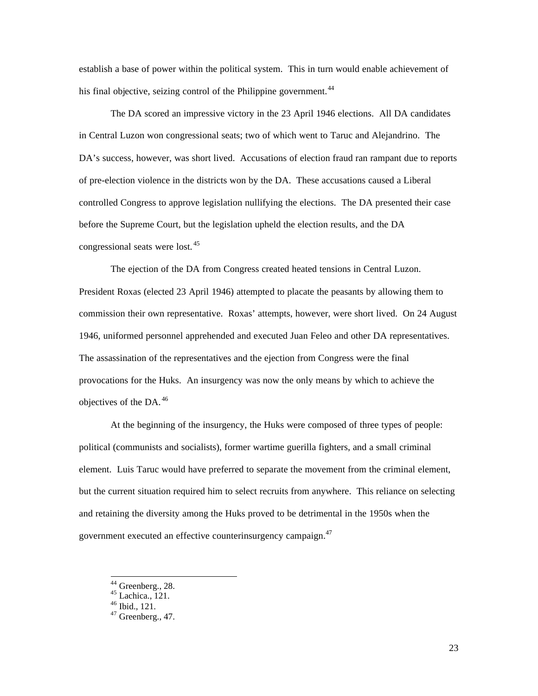establish a base of power within the political system. This in turn would enable achievement of his final objective, seizing control of the Philippine government.<sup>44</sup>

The DA scored an impressive victory in the 23 April 1946 elections. All DA candidates in Central Luzon won congressional seats; two of which went to Taruc and Alejandrino. The DA's success, however, was short lived. Accusations of election fraud ran rampant due to reports of pre-election violence in the districts won by the DA. These accusations caused a Liberal controlled Congress to approve legislation nullifying the elections. The DA presented their case before the Supreme Court, but the legislation upheld the election results, and the DA congressional seats were lost. <sup>45</sup>

The ejection of the DA from Congress created heated tensions in Central Luzon. President Roxas (elected 23 April 1946) attempted to placate the peasants by allowing them to commission their own representative. Roxas' attempts, however, were short lived. On 24 August 1946, uniformed personnel apprehended and executed Juan Feleo and other DA representatives. The assassination of the representatives and the ejection from Congress were the final provocations for the Huks. An insurgency was now the only means by which to achieve the objectives of the DA. <sup>46</sup>

At the beginning of the insurgency, the Huks were composed of three types of people: political (communists and socialists), former wartime guerilla fighters, and a small criminal element. Luis Taruc would have preferred to separate the movement from the criminal element, but the current situation required him to select recruits from anywhere. This reliance on selecting and retaining the diversity among the Huks proved to be detrimental in the 1950s when the government executed an effective counterinsurgency campaign.<sup>47</sup>

l

 $44$  Greenberg., 28.

 $45$  Lachica., 121.

<sup>46</sup> Ibid., 121.

 $47$  Greenberg., 47.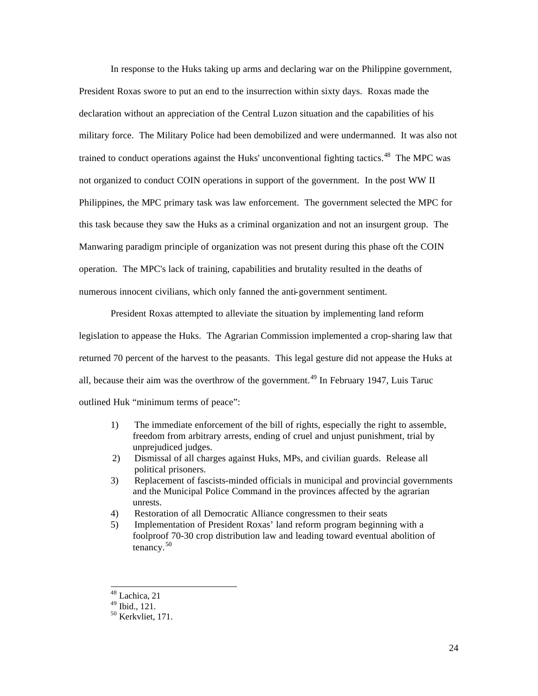In response to the Huks taking up arms and declaring war on the Philippine government, President Roxas swore to put an end to the insurrection within sixty days. Roxas made the declaration without an appreciation of the Central Luzon situation and the capabilities of his military force. The Military Police had been demobilized and were undermanned. It was also not trained to conduct operations against the Huks' unconventional fighting tactics.<sup>48</sup> The MPC was not organized to conduct COIN operations in support of the government. In the post WW II Philippines, the MPC primary task was law enforcement. The government selected the MPC for this task because they saw the Huks as a criminal organization and not an insurgent group. The Manwaring paradigm principle of organization was not present during this phase oft the COIN operation. The MPC's lack of training, capabilities and brutality resulted in the deaths of numerous innocent civilians, which only fanned the anti-government sentiment.

President Roxas attempted to alleviate the situation by implementing land reform legislation to appease the Huks. The Agrarian Commission implemented a crop-sharing law that returned 70 percent of the harvest to the peasants. This legal gesture did not appease the Huks at all, because their aim was the overthrow of the government.<sup>49</sup> In February 1947, Luis Taruc outlined Huk "minimum terms of peace":

- 1) The immediate enforcement of the bill of rights, especially the right to assemble, freedom from arbitrary arrests, ending of cruel and unjust punishment, trial by unprejudiced judges.
- 2) Dismissal of all charges against Huks, MPs, and civilian guards. Release all political prisoners.
- 3) Replacement of fascists-minded officials in municipal and provincial governments and the Municipal Police Command in the provinces affected by the agrarian unrests.
- 4) Restoration of all Democratic Alliance congressmen to their seats
- 5) Implementation of President Roxas' land reform program beginning with a foolproof 70-30 crop distribution law and leading toward eventual abolition of tenancy.<sup>50</sup>

<sup>1</sup> <sup>48</sup> Lachica, 21

<sup>49</sup> Ibid., 121.

<sup>50</sup> Kerkvliet, 171.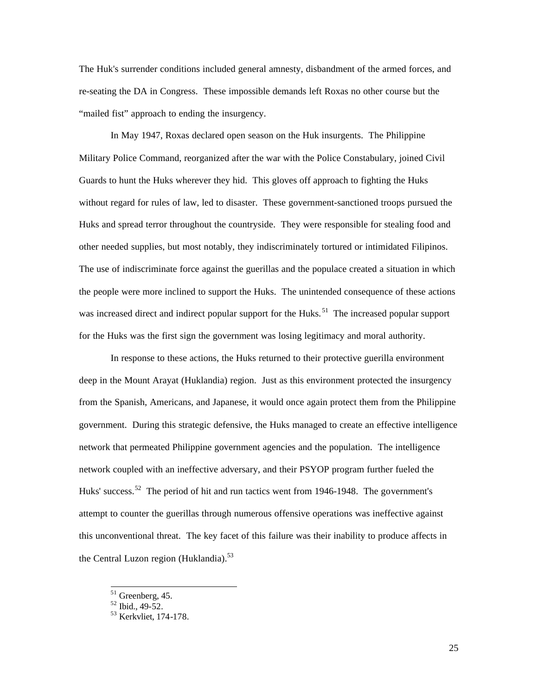The Huk's surrender conditions included general amnesty, disbandment of the armed forces, and re-seating the DA in Congress. These impossible demands left Roxas no other course but the "mailed fist" approach to ending the insurgency.

In May 1947, Roxas declared open season on the Huk insurgents. The Philippine Military Police Command, reorganized after the war with the Police Constabulary, joined Civil Guards to hunt the Huks wherever they hid. This gloves off approach to fighting the Huks without regard for rules of law, led to disaster. These government-sanctioned troops pursued the Huks and spread terror throughout the countryside. They were responsible for stealing food and other needed supplies, but most notably, they indiscriminately tortured or intimidated Filipinos. The use of indiscriminate force against the guerillas and the populace created a situation in which the people were more inclined to support the Huks. The unintended consequence of these actions was increased direct and indirect popular support for the Huks.<sup>51</sup> The increased popular support for the Huks was the first sign the government was losing legitimacy and moral authority.

In response to these actions, the Huks returned to their protective guerilla environment deep in the Mount Arayat (Huklandia) region. Just as this environment protected the insurgency from the Spanish, Americans, and Japanese, it would once again protect them from the Philippine government. During this strategic defensive, the Huks managed to create an effective intelligence network that permeated Philippine government agencies and the population. The intelligence network coupled with an ineffective adversary, and their PSYOP program further fueled the Huks' success.<sup>52</sup> The period of hit and run tactics went from 1946-1948. The government's attempt to counter the guerillas through numerous offensive operations was ineffective against this unconventional threat. The key facet of this failure was their inability to produce affects in the Central Luzon region (Huklandia). $53$ 

 $51$  Greenberg, 45.

 $52$  Ibid., 49-52.

 $^{53}$  Kerkvliet, 174-178.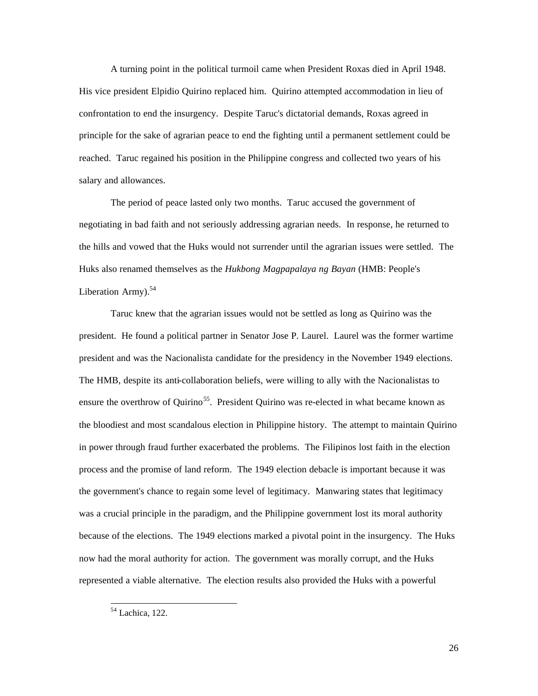A turning point in the political turmoil came when President Roxas died in April 1948. His vice president Elpidio Quirino replaced him. Quirino attempted accommodation in lieu of confrontation to end the insurgency. Despite Taruc's dictatorial demands, Roxas agreed in principle for the sake of agrarian peace to end the fighting until a permanent settlement could be reached. Taruc regained his position in the Philippine congress and collected two years of his salary and allowances.

The period of peace lasted only two months. Taruc accused the government of negotiating in bad faith and not seriously addressing agrarian needs. In response, he returned to the hills and vowed that the Huks would not surrender until the agrarian issues were settled. The Huks also renamed themselves as the *Hukbong Magpapalaya ng Bayan* (HMB: People's Liberation Army). $54$ 

Taruc knew that the agrarian issues would not be settled as long as Quirino was the president. He found a political partner in Senator Jose P. Laurel. Laurel was the former wartime president and was the Nacionalista candidate for the presidency in the November 1949 elections. The HMB, despite its anti-collaboration beliefs, were willing to ally with the Nacionalistas to ensure the overthrow of Quirino<sup>55</sup>. President Quirino was re-elected in what became known as the bloodiest and most scandalous election in Philippine history. The attempt to maintain Quirino in power through fraud further exacerbated the problems. The Filipinos lost faith in the election process and the promise of land reform. The 1949 election debacle is important because it was the government's chance to regain some level of legitimacy. Manwaring states that legitimacy was a crucial principle in the paradigm, and the Philippine government lost its moral authority because of the elections. The 1949 elections marked a pivotal point in the insurgency. The Huks now had the moral authority for action. The government was morally corrupt, and the Huks represented a viable alternative. The election results also provided the Huks with a powerful

26

 $\overline{a}$ <sup>54</sup> Lachica, 122.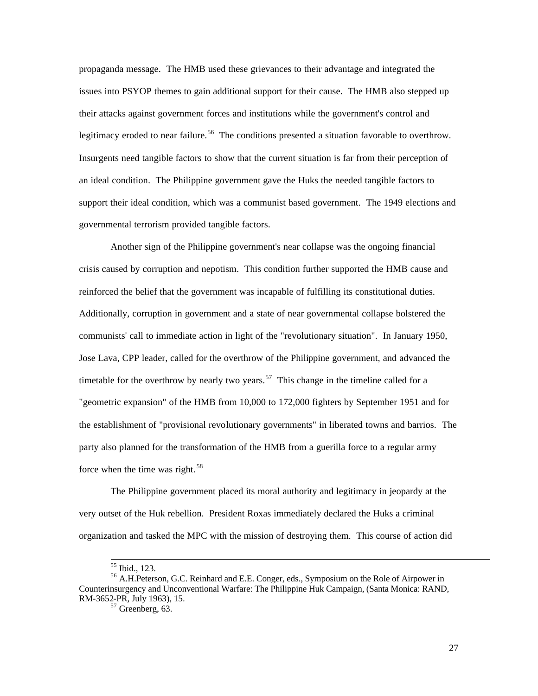propaganda message. The HMB used these grievances to their advantage and integrated the issues into PSYOP themes to gain additional support for their cause. The HMB also stepped up their attacks against government forces and institutions while the government's control and legitimacy eroded to near failure.<sup>56</sup> The conditions presented a situation favorable to overthrow. Insurgents need tangible factors to show that the current situation is far from their perception of an ideal condition. The Philippine government gave the Huks the needed tangible factors to support their ideal condition, which was a communist based government. The 1949 elections and governmental terrorism provided tangible factors.

Another sign of the Philippine government's near collapse was the ongoing financial crisis caused by corruption and nepotism. This condition further supported the HMB cause and reinforced the belief that the government was incapable of fulfilling its constitutional duties. Additionally, corruption in government and a state of near governmental collapse bolstered the communists' call to immediate action in light of the "revolutionary situation". In January 1950, Jose Lava, CPP leader, called for the overthrow of the Philippine government, and advanced the timetable for the overthrow by nearly two years.<sup>57</sup> This change in the timeline called for a "geometric expansion" of the HMB from 10,000 to 172,000 fighters by September 1951 and for the establishment of "provisional revolutionary governments" in liberated towns and barrios. The party also planned for the transformation of the HMB from a guerilla force to a regular army force when the time was right. <sup>58</sup>

The Philippine government placed its moral authority and legitimacy in jeopardy at the very outset of the Huk rebellion. President Roxas immediately declared the Huks a criminal organization and tasked the MPC with the mission of destroying them. This course of action did

1

<sup>55</sup> Ibid., 123.

<sup>56</sup> A.H.Peterson, G.C. Reinhard and E.E. Conger, eds., Symposium on the Role of Airpower in Counterinsurgency and Unconventional Warfare: The Philippine Huk Campaign, (Santa Monica: RAND, RM-3652-PR, July 1963), 15.

 $57$  Greenberg, 63.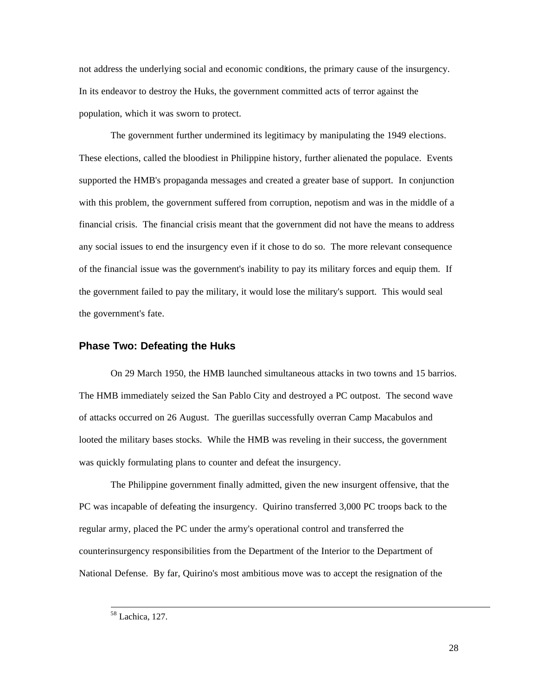not address the underlying social and economic conditions, the primary cause of the insurgency. In its endeavor to destroy the Huks, the government committed acts of terror against the population, which it was sworn to protect.

The government further undermined its legitimacy by manipulating the 1949 elections. These elections, called the bloodiest in Philippine history, further alienated the populace. Events supported the HMB's propaganda messages and created a greater base of support. In conjunction with this problem, the government suffered from corruption, nepotism and was in the middle of a financial crisis. The financial crisis meant that the government did not have the means to address any social issues to end the insurgency even if it chose to do so. The more relevant consequence of the financial issue was the government's inability to pay its military forces and equip them. If the government failed to pay the military, it would lose the military's support. This would seal the government's fate.

#### **Phase Two: Defeating the Huks**

On 29 March 1950, the HMB launched simultaneous attacks in two towns and 15 barrios. The HMB immediately seized the San Pablo City and destroyed a PC outpost. The second wave of attacks occurred on 26 August. The guerillas successfully overran Camp Macabulos and looted the military bases stocks. While the HMB was reveling in their success, the government was quickly formulating plans to counter and defeat the insurgency.

The Philippine government finally admitted, given the new insurgent offensive, that the PC was incapable of defeating the insurgency. Quirino transferred 3,000 PC troops back to the regular army, placed the PC under the army's operational control and transferred the counterinsurgency responsibilities from the Department of the Interior to the Department of National Defense. By far, Quirino's most ambitious move was to accept the resignation of the

<sup>58</sup> Lachica, 127.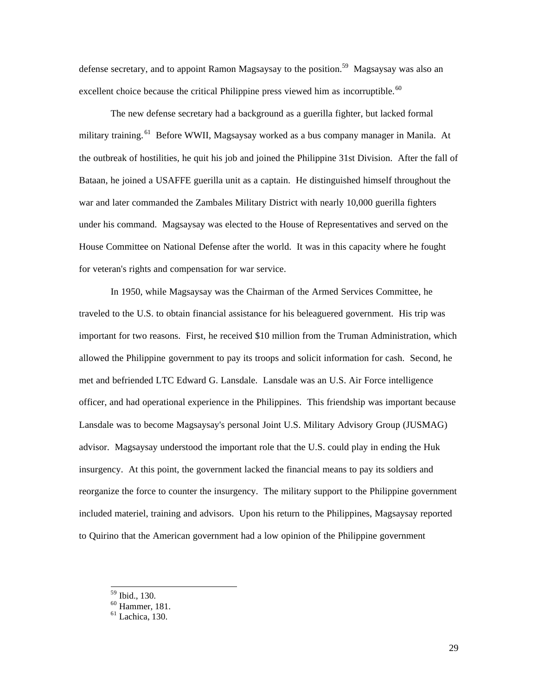defense secretary, and to appoint Ramon Magsaysay to the position.<sup>59</sup> Magsaysay was also an excellent choice because the critical Philippine press viewed him as incorruptible.<sup>60</sup>

The new defense secretary had a background as a guerilla fighter, but lacked formal military training.<sup>61</sup> Before WWII, Magsaysay worked as a bus company manager in Manila. At the outbreak of hostilities, he quit his job and joined the Philippine 31st Division. After the fall of Bataan, he joined a USAFFE guerilla unit as a captain. He distinguished himself throughout the war and later commanded the Zambales Military District with nearly 10,000 guerilla fighters under his command. Magsaysay was elected to the House of Representatives and served on the House Committee on National Defense after the world. It was in this capacity where he fought for veteran's rights and compensation for war service.

In 1950, while Magsaysay was the Chairman of the Armed Services Committee, he traveled to the U.S. to obtain financial assistance for his beleaguered government. His trip was important for two reasons. First, he received \$10 million from the Truman Administration, which allowed the Philippine government to pay its troops and solicit information for cash. Second, he met and befriended LTC Edward G. Lansdale. Lansdale was an U.S. Air Force intelligence officer, and had operational experience in the Philippines. This friendship was important because Lansdale was to become Magsaysay's personal Joint U.S. Military Advisory Group (JUSMAG) advisor. Magsaysay understood the important role that the U.S. could play in ending the Huk insurgency. At this point, the government lacked the financial means to pay its soldiers and reorganize the force to counter the insurgency. The military support to the Philippine government included materiel, training and advisors. Upon his return to the Philippines, Magsaysay reported to Quirino that the American government had a low opinion of the Philippine government

<sup>59</sup> Ibid., 130.

<sup>60</sup> Hammer, 181.

 $61$  Lachica, 130.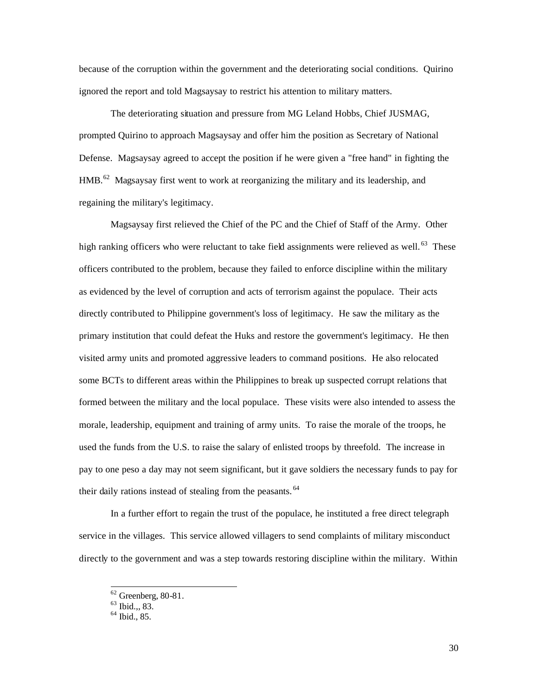because of the corruption within the government and the deteriorating social conditions. Quirino ignored the report and told Magsaysay to restrict his attention to military matters.

The deteriorating situation and pressure from MG Leland Hobbs, Chief JUSMAG, prompted Quirino to approach Magsaysay and offer him the position as Secretary of National Defense. Magsaysay agreed to accept the position if he were given a "free hand" in fighting the  $HMB<sup>62</sup>$  Magsaysay first went to work at reorganizing the military and its leadership, and regaining the military's legitimacy.

Magsaysay first relieved the Chief of the PC and the Chief of Staff of the Army. Other high ranking officers who were reluctant to take field assignments were relieved as well.<sup>63</sup> These officers contributed to the problem, because they failed to enforce discipline within the military as evidenced by the level of corruption and acts of terrorism against the populace. Their acts directly contributed to Philippine government's loss of legitimacy. He saw the military as the primary institution that could defeat the Huks and restore the government's legitimacy. He then visited army units and promoted aggressive leaders to command positions. He also relocated some BCTs to different areas within the Philippines to break up suspected corrupt relations that formed between the military and the local populace. These visits were also intended to assess the morale, leadership, equipment and training of army units. To raise the morale of the troops, he used the funds from the U.S. to raise the salary of enlisted troops by threefold. The increase in pay to one peso a day may not seem significant, but it gave soldiers the necessary funds to pay for their daily rations instead of stealing from the peasants.<sup>64</sup>

In a further effort to regain the trust of the populace, he instituted a free direct telegraph service in the villages. This service allowed villagers to send complaints of military misconduct directly to the government and was a step towards restoring discipline within the military. Within

 $62$  Greenberg, 80-81.

 $63$  Ibid.,, 83.

 $^{64}$  Ibid., 85.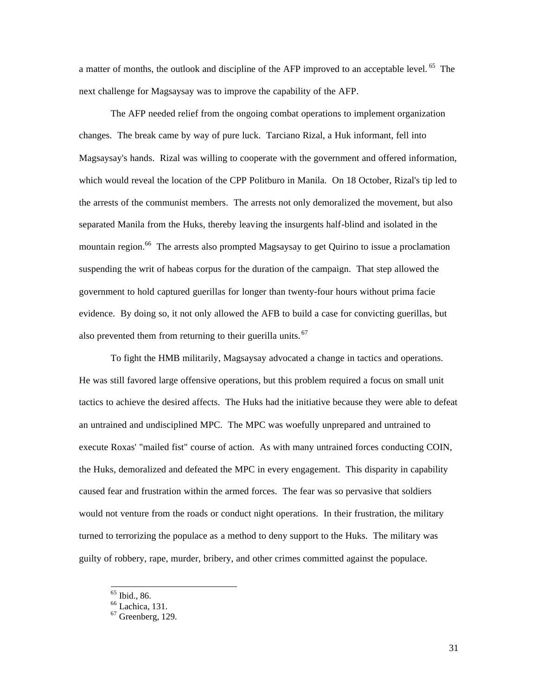a matter of months, the outlook and discipline of the AFP improved to an acceptable level.<sup>65</sup> The next challenge for Magsaysay was to improve the capability of the AFP.

The AFP needed relief from the ongoing combat operations to implement organization changes. The break came by way of pure luck. Tarciano Rizal, a Huk informant, fell into Magsaysay's hands. Rizal was willing to cooperate with the government and offered information, which would reveal the location of the CPP Politburo in Manila. On 18 October, Rizal's tip led to the arrests of the communist members. The arrests not only demoralized the movement, but also separated Manila from the Huks, thereby leaving the insurgents half-blind and isolated in the mountain region.<sup>66</sup> The arrests also prompted Magsaysay to get Quirino to issue a proclamation suspending the writ of habeas corpus for the duration of the campaign. That step allowed the government to hold captured guerillas for longer than twenty-four hours without prima facie evidence. By doing so, it not only allowed the AFB to build a case for convicting guerillas, but also prevented them from returning to their guerilla units.<sup>67</sup>

To fight the HMB militarily, Magsaysay advocated a change in tactics and operations. He was still favored large offensive operations, but this problem required a focus on small unit tactics to achieve the desired affects. The Huks had the initiative because they were able to defeat an untrained and undisciplined MPC. The MPC was woefully unprepared and untrained to execute Roxas' "mailed fist" course of action. As with many untrained forces conducting COIN, the Huks, demoralized and defeated the MPC in every engagement. This disparity in capability caused fear and frustration within the armed forces. The fear was so pervasive that soldiers would not venture from the roads or conduct night operations. In their frustration, the military turned to terrorizing the populace as a method to deny support to the Huks. The military was guilty of robbery, rape, murder, bribery, and other crimes committed against the populace.

<sup>65</sup> Ibid., 86.

<sup>&</sup>lt;sup>66</sup> Lachica, 131.

 $67$  Greenberg, 129.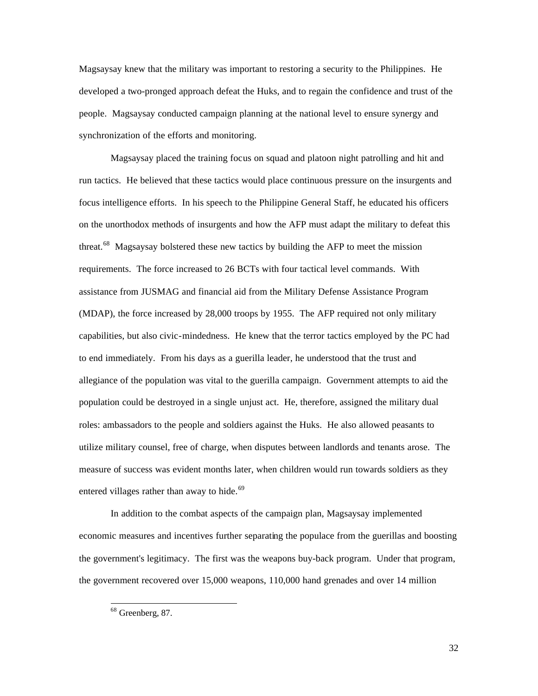Magsaysay knew that the military was important to restoring a security to the Philippines. He developed a two-pronged approach defeat the Huks, and to regain the confidence and trust of the people. Magsaysay conducted campaign planning at the national level to ensure synergy and synchronization of the efforts and monitoring.

Magsaysay placed the training focus on squad and platoon night patrolling and hit and run tactics. He believed that these tactics would place continuous pressure on the insurgents and focus intelligence efforts. In his speech to the Philippine General Staff, he educated his officers on the unorthodox methods of insurgents and how the AFP must adapt the military to defeat this threat.<sup>68</sup> Magsaysay bolstered these new tactics by building the AFP to meet the mission requirements. The force increased to 26 BCTs with four tactical level commands. With assistance from JUSMAG and financial aid from the Military Defense Assistance Program (MDAP), the force increased by 28,000 troops by 1955. The AFP required not only military capabilities, but also civic-mindedness. He knew that the terror tactics employed by the PC had to end immediately. From his days as a guerilla leader, he understood that the trust and allegiance of the population was vital to the guerilla campaign. Government attempts to aid the population could be destroyed in a single unjust act. He, therefore, assigned the military dual roles: ambassadors to the people and soldiers against the Huks. He also allowed peasants to utilize military counsel, free of charge, when disputes between landlords and tenants arose. The measure of success was evident months later, when children would run towards soldiers as they entered villages rather than away to hide. $69$ 

In addition to the combat aspects of the campaign plan, Magsaysay implemented economic measures and incentives further separating the populace from the guerillas and boosting the government's legitimacy. The first was the weapons buy-back program. Under that program, the government recovered over 15,000 weapons, 110,000 hand grenades and over 14 million

 $\overline{a}$  $68$  Greenberg, 87.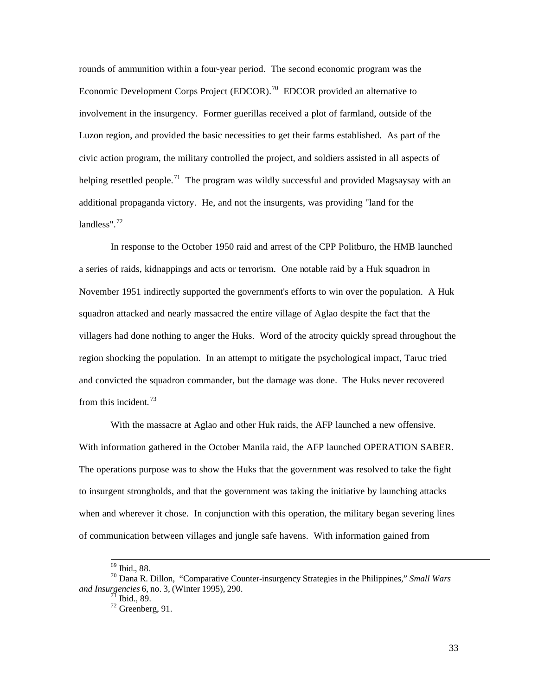rounds of ammunition within a four-year period. The second economic program was the Economic Development Corps Project (EDCOR).<sup>70</sup> EDCOR provided an alternative to involvement in the insurgency. Former guerillas received a plot of farmland, outside of the Luzon region, and provided the basic necessities to get their farms established. As part of the civic action program, the military controlled the project, and soldiers assisted in all aspects of helping resettled people.<sup>71</sup> The program was wildly successful and provided Magsaysay with an additional propaganda victory. He, and not the insurgents, was providing "land for the landless". $72$ 

In response to the October 1950 raid and arrest of the CPP Politburo, the HMB launched a series of raids, kidnappings and acts or terrorism. One notable raid by a Huk squadron in November 1951 indirectly supported the government's efforts to win over the population. A Huk squadron attacked and nearly massacred the entire village of Aglao despite the fact that the villagers had done nothing to anger the Huks. Word of the atrocity quickly spread throughout the region shocking the population. In an attempt to mitigate the psychological impact, Taruc tried and convicted the squadron commander, but the damage was done. The Huks never recovered from this incident.<sup>73</sup>

With the massacre at Aglao and other Huk raids, the AFP launched a new offensive. With information gathered in the October Manila raid, the AFP launched OPERATION SABER. The operations purpose was to show the Huks that the government was resolved to take the fight to insurgent strongholds, and that the government was taking the initiative by launching attacks when and wherever it chose. In conjunction with this operation, the military began severing lines of communication between villages and jungle safe havens. With information gained from

l

<sup>69</sup> Ibid., 88.

<sup>70</sup> Dana R. Dillon, "Comparative Counter-insurgency Strategies in the Philippines," *Small Wars and Insurgencies* 6, no. 3, (Winter 1995), 290.

 $^{71}$  Ibid., 89.

 $72$  Greenberg, 91.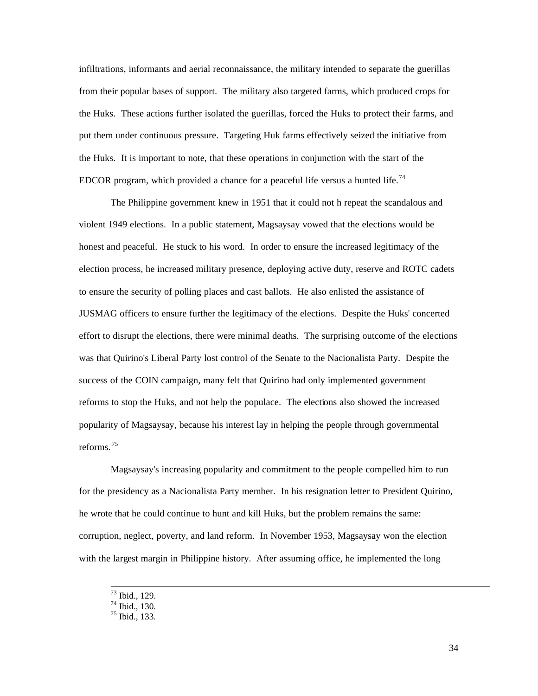infiltrations, informants and aerial reconnaissance, the military intended to separate the guerillas from their popular bases of support. The military also targeted farms, which produced crops for the Huks. These actions further isolated the guerillas, forced the Huks to protect their farms, and put them under continuous pressure. Targeting Huk farms effectively seized the initiative from the Huks. It is important to note, that these operations in conjunction with the start of the EDCOR program, which provided a chance for a peaceful life versus a hunted life.<sup>74</sup>

The Philippine government knew in 1951 that it could not h repeat the scandalous and violent 1949 elections. In a public statement, Magsaysay vowed that the elections would be honest and peaceful. He stuck to his word. In order to ensure the increased legitimacy of the election process, he increased military presence, deploying active duty, reserve and ROTC cadets to ensure the security of polling places and cast ballots. He also enlisted the assistance of JUSMAG officers to ensure further the legitimacy of the elections. Despite the Huks' concerted effort to disrupt the elections, there were minimal deaths. The surprising outcome of the elections was that Quirino's Liberal Party lost control of the Senate to the Nacionalista Party. Despite the success of the COIN campaign, many felt that Quirino had only implemented government reforms to stop the Huks, and not help the populace. The elections also showed the increased popularity of Magsaysay, because his interest lay in helping the people through governmental reforms. <sup>75</sup>

Magsaysay's increasing popularity and commitment to the people compelled him to run for the presidency as a Nacionalista Party member. In his resignation letter to President Quirino, he wrote that he could continue to hunt and kill Huks, but the problem remains the same: corruption, neglect, poverty, and land reform. In November 1953, Magsaysay won the election with the largest margin in Philippine history. After assuming office, he implemented the long

 $73$  Ibid., 129.

 $74$  Ibid., 130.

 $75$  Ibid., 133.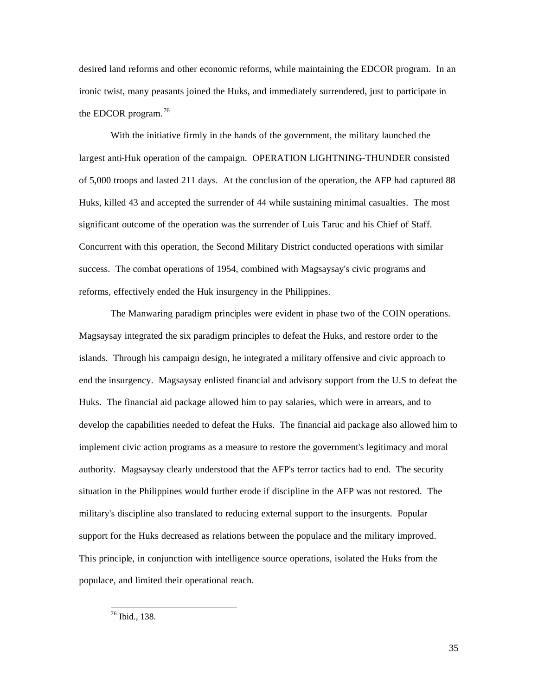desired land reforms and other economic reforms, while maintaining the EDCOR program. In an ironic twist, many peasants joined the Huks, and immediately surrendered, just to participate in the EDCOR program.  $76$ 

With the initiative firmly in the hands of the government, the military launched the largest anti-Huk operation of the campaign. OPERATION LIGHTNING-THUNDER consisted of 5,000 troops and lasted 211 days. At the conclusion of the operation, the AFP had captured 88 Huks, killed 43 and accepted the surrender of 44 while sustaining minimal casualties. The most significant outcome of the operation was the surrender of Luis Taruc and his Chief of Staff. Concurrent with this operation, the Second Military District conducted operations with similar success. The combat operations of 1954, combined with Magsaysay's civic programs and reforms, effectively ended the Huk insurgency in the Philippines.

The Manwaring paradigm principles were evident in phase two of the COIN operations. Magsaysay integrated the six paradigm principles to defeat the Huks, and restore order to the islands. Through his campaign design, he integrated a military offensive and civic approach to end the insurgency. Magsaysay enlisted financial and advisory support from the U.S to defeat the Huks. The financial aid package allowed him to pay salaries, which were in arrears, and to develop the capabilities needed to defeat the Huks. The financial aid package also allowed him to implement civic action programs as a measure to restore the government's legitimacy and moral authority. Magsaysay clearly understood that the AFP's terror tactics had to end. The security situation in the Philippines would further erode if discipline in the AFP was not restored. The military's discipline also translated to reducing external support to the insurgents. Popular support for the Huks decreased as relations between the populace and the military improved. This principle, in conjunction with intelligence source operations, isolated the Huks from the populace, and limited their operational reach.

<sup>76</sup> Ibid., 138.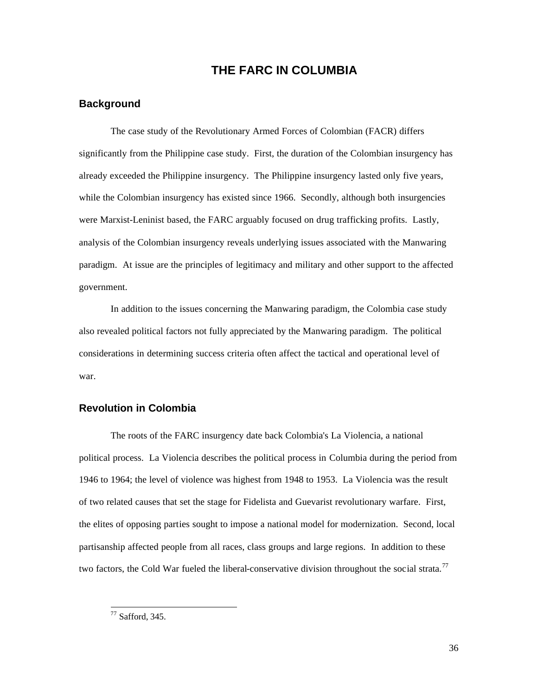## **THE FARC IN COLUMBIA**

### **Background**

The case study of the Revolutionary Armed Forces of Colombian (FACR) differs significantly from the Philippine case study. First, the duration of the Colombian insurgency has already exceeded the Philippine insurgency. The Philippine insurgency lasted only five years, while the Colombian insurgency has existed since 1966. Secondly, although both insurgencies were Marxist-Leninist based, the FARC arguably focused on drug trafficking profits. Lastly, analysis of the Colombian insurgency reveals underlying issues associated with the Manwaring paradigm. At issue are the principles of legitimacy and military and other support to the affected government.

In addition to the issues concerning the Manwaring paradigm, the Colombia case study also revealed political factors not fully appreciated by the Manwaring paradigm. The political considerations in determining success criteria often affect the tactical and operational level of war.

## **Revolution in Colombia**

The roots of the FARC insurgency date back Colombia's La Violencia, a national political process. La Violencia describes the political process in Columbia during the period from 1946 to 1964; the level of violence was highest from 1948 to 1953. La Violencia was the result of two related causes that set the stage for Fidelista and Guevarist revolutionary warfare. First, the elites of opposing parties sought to impose a national model for modernization. Second, local partisanship affected people from all races, class groups and large regions. In addition to these two factors, the Cold War fueled the liberal-conservative division throughout the social strata.<sup>77</sup>

 $77$  Safford, 345.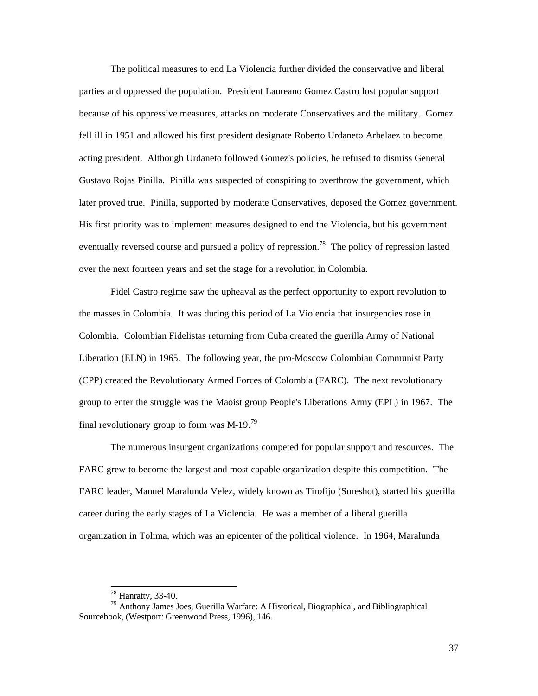The political measures to end La Violencia further divided the conservative and liberal parties and oppressed the population. President Laureano Gomez Castro lost popular support because of his oppressive measures, attacks on moderate Conservatives and the military. Gomez fell ill in 1951 and allowed his first president designate Roberto Urdaneto Arbelaez to become acting president. Although Urdaneto followed Gomez's policies, he refused to dismiss General Gustavo Rojas Pinilla. Pinilla was suspected of conspiring to overthrow the government, which later proved true. Pinilla, supported by moderate Conservatives, deposed the Gomez government. His first priority was to implement measures designed to end the Violencia, but his government eventually reversed course and pursued a policy of repression.<sup>78</sup> The policy of repression lasted over the next fourteen years and set the stage for a revolution in Colombia.

Fidel Castro regime saw the upheaval as the perfect opportunity to export revolution to the masses in Colombia. It was during this period of La Violencia that insurgencies rose in Colombia. Colombian Fidelistas returning from Cuba created the guerilla Army of National Liberation (ELN) in 1965. The following year, the pro-Moscow Colombian Communist Party (CPP) created the Revolutionary Armed Forces of Colombia (FARC). The next revolutionary group to enter the struggle was the Maoist group People's Liberations Army (EPL) in 1967. The final revolutionary group to form was M-19.<sup>79</sup>

The numerous insurgent organizations competed for popular support and resources. The FARC grew to become the largest and most capable organization despite this competition. The FARC leader, Manuel Maralunda Velez, widely known as Tirofijo (Sureshot), started his guerilla career during the early stages of La Violencia. He was a member of a liberal guerilla organization in Tolima, which was an epicenter of the political violence. In 1964, Maralunda

 $78$  Hanratty, 33-40.

<sup>79</sup> Anthony James Joes, Guerilla Warfare: A Historical, Biographical, and Bibliographical Sourcebook, (Westport: Greenwood Press, 1996), 146.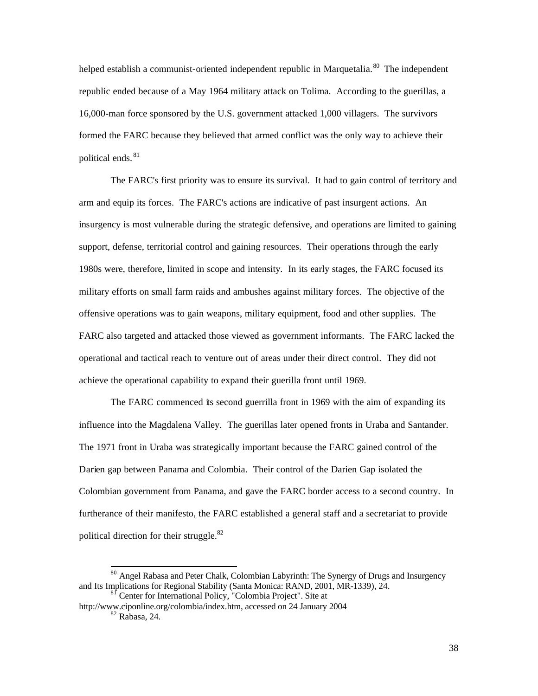helped establish a communist-oriented independent republic in Marquetalia.<sup>80</sup> The independent republic ended because of a May 1964 military attack on Tolima. According to the guerillas, a 16,000-man force sponsored by the U.S. government attacked 1,000 villagers. The survivors formed the FARC because they believed that armed conflict was the only way to achieve their political ends. <sup>81</sup>

The FARC's first priority was to ensure its survival. It had to gain control of territory and arm and equip its forces. The FARC's actions are indicative of past insurgent actions. An insurgency is most vulnerable during the strategic defensive, and operations are limited to gaining support, defense, territorial control and gaining resources. Their operations through the early 1980s were, therefore, limited in scope and intensity. In its early stages, the FARC focused its military efforts on small farm raids and ambushes against military forces. The objective of the offensive operations was to gain weapons, military equipment, food and other supplies. The FARC also targeted and attacked those viewed as government informants. The FARC lacked the operational and tactical reach to venture out of areas under their direct control. They did not achieve the operational capability to expand their guerilla front until 1969.

The FARC commenced its second guerrilla front in 1969 with the aim of expanding its influence into the Magdalena Valley. The guerillas later opened fronts in Uraba and Santander. The 1971 front in Uraba was strategically important because the FARC gained control of the Darien gap between Panama and Colombia. Their control of the Darien Gap isolated the Colombian government from Panama, and gave the FARC border access to a second country. In furtherance of their manifesto, the FARC established a general staff and a secretariat to provide political direction for their struggle.<sup>82</sup>

<sup>&</sup>lt;sup>80</sup> Angel Rabasa and Peter Chalk, Colombian Labyrinth: The Synergy of Drugs and Insurgency and Its Implications for Regional Stability (Santa Monica: RAND, 2001, MR-1339), 24.

<sup>&</sup>lt;sup>1</sup> Center for International Policy, "Colombia Project". Site at

http://www.ciponline.org/colombia/index.htm, accessed on 24 January 2004 <sup>82</sup> Rabasa, 24.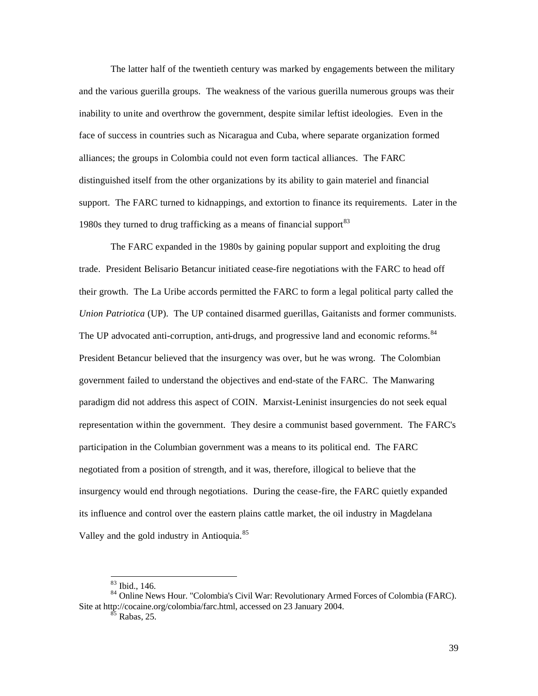The latter half of the twentieth century was marked by engagements between the military and the various guerilla groups. The weakness of the various guerilla numerous groups was their inability to unite and overthrow the government, despite similar leftist ideologies. Even in the face of success in countries such as Nicaragua and Cuba, where separate organization formed alliances; the groups in Colombia could not even form tactical alliances. The FARC distinguished itself from the other organizations by its ability to gain materiel and financial support. The FARC turned to kidnappings, and extortion to finance its requirements. Later in the 1980s they turned to drug trafficking as a means of financial support  $83$ 

The FARC expanded in the 1980s by gaining popular support and exploiting the drug trade. President Belisario Betancur initiated cease-fire negotiations with the FARC to head off their growth. The La Uribe accords permitted the FARC to form a legal political party called the *Union Patriotica* (UP). The UP contained disarmed guerillas, Gaitanists and former communists. The UP advocated anti-corruption, anti-drugs, and progressive land and economic reforms.<sup>84</sup> President Betancur believed that the insurgency was over, but he was wrong. The Colombian government failed to understand the objectives and end-state of the FARC. The Manwaring paradigm did not address this aspect of COIN. Marxist-Leninist insurgencies do not seek equal representation within the government. They desire a communist based government. The FARC's participation in the Columbian government was a means to its political end. The FARC negotiated from a position of strength, and it was, therefore, illogical to believe that the insurgency would end through negotiations. During the cease-fire, the FARC quietly expanded its influence and control over the eastern plains cattle market, the oil industry in Magdelana Valley and the gold industry in Antioquia.<sup>85</sup>

l

<sup>83</sup> Ibid., 146.

<sup>84</sup> Online News Hour. "Colombia's Civil War: Revolutionary Armed Forces of Colombia (FARC). Site at http://cocaine.org/colombia/farc.html, accessed on 23 January 2004.

 $85$  Rabas, 25.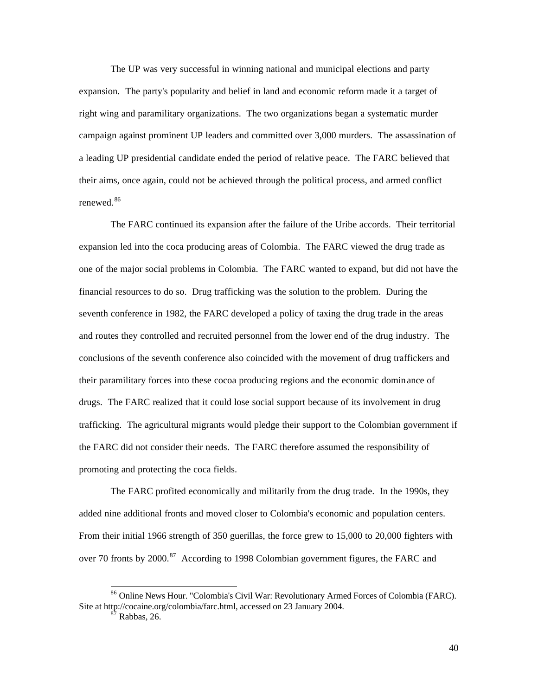The UP was very successful in winning national and municipal elections and party expansion. The party's popularity and belief in land and economic reform made it a target of right wing and paramilitary organizations. The two organizations began a systematic murder campaign against prominent UP leaders and committed over 3,000 murders. The assassination of a leading UP presidential candidate ended the period of relative peace. The FARC believed that their aims, once again, could not be achieved through the political process, and armed conflict renewed.<sup>86</sup>

The FARC continued its expansion after the failure of the Uribe accords. Their territorial expansion led into the coca producing areas of Colombia. The FARC viewed the drug trade as one of the major social problems in Colombia. The FARC wanted to expand, but did not have the financial resources to do so. Drug trafficking was the solution to the problem. During the seventh conference in 1982, the FARC developed a policy of taxing the drug trade in the areas and routes they controlled and recruited personnel from the lower end of the drug industry. The conclusions of the seventh conference also coincided with the movement of drug traffickers and their paramilitary forces into these cocoa producing regions and the economic dominance of drugs. The FARC realized that it could lose social support because of its involvement in drug trafficking. The agricultural migrants would pledge their support to the Colombian government if the FARC did not consider their needs. The FARC therefore assumed the responsibility of promoting and protecting the coca fields.

The FARC profited economically and militarily from the drug trade. In the 1990s, they added nine additional fronts and moved closer to Colombia's economic and population centers. From their initial 1966 strength of 350 guerillas, the force grew to 15,000 to 20,000 fighters with over 70 fronts by 2000.<sup>87</sup> According to 1998 Colombian government figures, the FARC and

1

<sup>86</sup> Online News Hour. "Colombia's Civil War: Revolutionary Armed Forces of Colombia (FARC). Site at http://cocaine.org/colombia/farc.html, accessed on 23 January 2004.

 $87$  Rabbas, 26.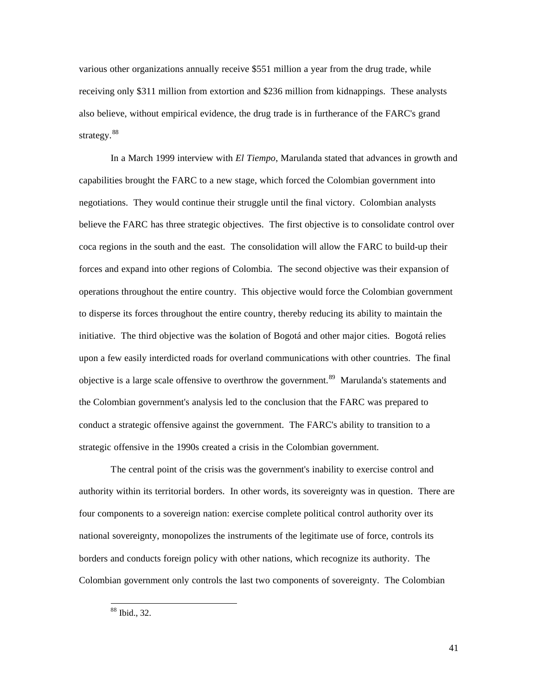various other organizations annually receive \$551 million a year from the drug trade, while receiving only \$311 million from extortion and \$236 million from kidnappings. These analysts also believe, without empirical evidence, the drug trade is in furtherance of the FARC's grand strategy.<sup>88</sup>

In a March 1999 interview with *El Tiempo*, Marulanda stated that advances in growth and capabilities brought the FARC to a new stage, which forced the Colombian government into negotiations. They would continue their struggle until the final victory. Colombian analysts believe the FARC has three strategic objectives. The first objective is to consolidate control over coca regions in the south and the east. The consolidation will allow the FARC to build-up their forces and expand into other regions of Colombia. The second objective was their expansion of operations throughout the entire country. This objective would force the Colombian government to disperse its forces throughout the entire country, thereby reducing its ability to maintain the initiative. The third objective was the isolation of Bogotá and other major cities. Bogotá relies upon a few easily interdicted roads for overland communications with other countries. The final objective is a large scale offensive to overthrow the government.<sup>89</sup> Marulanda's statements and the Colombian government's analysis led to the conclusion that the FARC was prepared to conduct a strategic offensive against the government. The FARC's ability to transition to a strategic offensive in the 1990s created a crisis in the Colombian government.

The central point of the crisis was the government's inability to exercise control and authority within its territorial borders. In other words, its sovereignty was in question. There are four components to a sovereign nation: exercise complete political control authority over its national sovereignty, monopolizes the instruments of the legitimate use of force, controls its borders and conducts foreign policy with other nations, which recognize its authority. The Colombian government only controls the last two components of sovereignty. The Colombian

 $\overline{a}$ <sup>88</sup> Ibid., 32.

41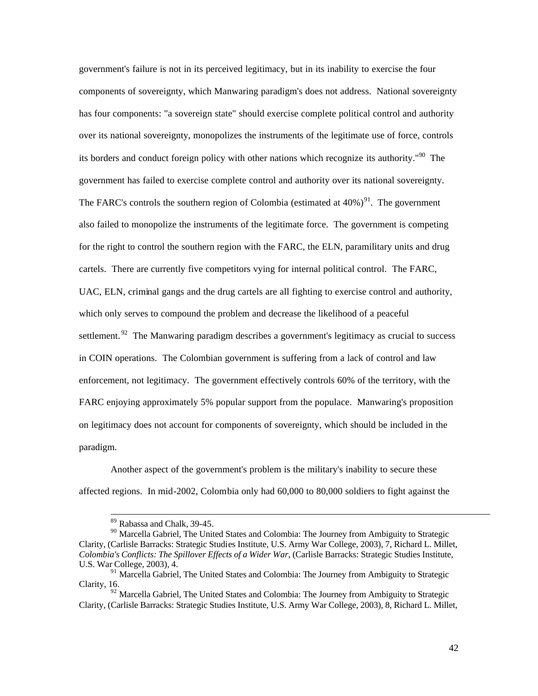government's failure is not in its perceived legitimacy, but in its inability to exercise the four components of sovereignty, which Manwaring paradigm's does not address. National sovereignty has four components: "a sovereign state" should exercise complete political control and authority over its national sovereignty, monopolizes the instruments of the legitimate use of force, controls its borders and conduct foreign policy with other nations which recognize its authority."<sup>90</sup> The government has failed to exercise complete control and authority over its national sovereignty. The FARC's controls the southern region of Colombia (estimated at  $40\%$ )<sup>91</sup>. The government also failed to monopolize the instruments of the legitimate force. The government is competing for the right to control the southern region with the FARC, the ELN, paramilitary units and drug cartels. There are currently five competitors vying for internal political control. The FARC, UAC, ELN, criminal gangs and the drug cartels are all fighting to exercise control and authority, which only serves to compound the problem and decrease the likelihood of a peaceful settlement. <sup>92</sup> The Manwaring paradigm describes a government's legitimacy as crucial to success in COIN operations. The Colombian government is suffering from a lack of control and law enforcement, not legitimacy. The government effectively controls 60% of the territory, with the FARC enjoying approximately 5% popular support from the populace. Manwaring's proposition on legitimacy does not account for components of sovereignty, which should be included in the paradigm.

Another aspect of the government's problem is the military's inability to secure these affected regions. In mid-2002, Colombia only had 60,000 to 80,000 soldiers to fight against the

l

<sup>&</sup>lt;sup>89</sup> Rabassa and Chalk, 39-45.

<sup>&</sup>lt;sup>90</sup> Marcella Gabriel, The United States and Colombia: The Journey from Ambiguity to Strategic Clarity, (Carlisle Barracks: Strategic Studies Institute, U.S. Army War College, 2003), 7, Richard L. Millet, *Colombia's Conflicts: The Spillover Effects of a Wider War*, (Carlisle Barracks: Strategic Studies Institute, U.S. War College, 2003), 4.

<sup>&</sup>lt;sup>91</sup> Marcella Gabriel, The United States and Colombia: The Journey from Ambiguity to Strategic Clarity, 16.

 $92$  Marcella Gabriel, The United States and Colombia: The Journey from Ambiguity to Strategic Clarity, (Carlisle Barracks: Strategic Studies Institute, U.S. Army War College, 2003), 8, Richard L. Millet,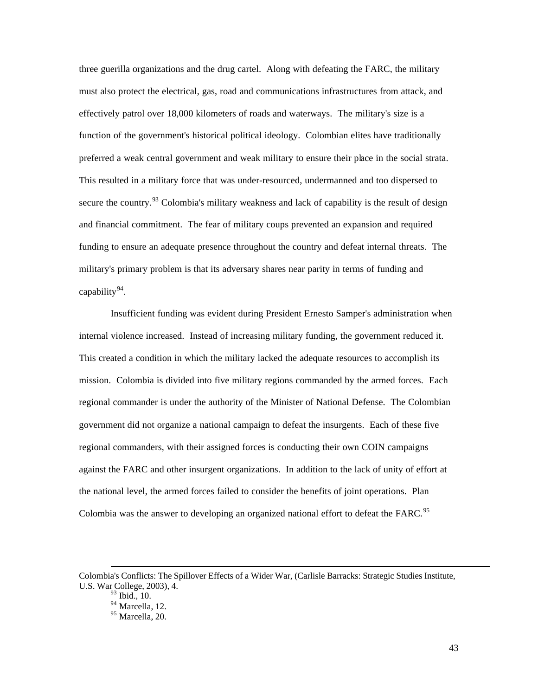three guerilla organizations and the drug cartel. Along with defeating the FARC, the military must also protect the electrical, gas, road and communications infrastructures from attack, and effectively patrol over 18,000 kilometers of roads and waterways. The military's size is a function of the government's historical political ideology. Colombian elites have traditionally preferred a weak central government and weak military to ensure their place in the social strata. This resulted in a military force that was under-resourced, undermanned and too dispersed to secure the country.<sup>93</sup> Colombia's military weakness and lack of capability is the result of design and financial commitment. The fear of military coups prevented an expansion and required funding to ensure an adequate presence throughout the country and defeat internal threats. The military's primary problem is that its adversary shares near parity in terms of funding and capability<sup>94</sup>.

Insufficient funding was evident during President Ernesto Samper's administration when internal violence increased. Instead of increasing military funding, the government reduced it. This created a condition in which the military lacked the adequate resources to accomplish its mission. Colombia is divided into five military regions commanded by the armed forces. Each regional commander is under the authority of the Minister of National Defense. The Colombian government did not organize a national campaign to defeat the insurgents. Each of these five regional commanders, with their assigned forces is conducting their own COIN campaigns against the FARC and other insurgent organizations. In addition to the lack of unity of effort at the national level, the armed forces failed to consider the benefits of joint operations. Plan Colombia was the answer to developing an organized national effort to defeat the FARC.<sup>95</sup>

Colombia's Conflicts: The Spillover Effects of a Wider War, (Carlisle Barracks: Strategic Studies Institute, U.S. War College, 2003), 4.

 $<sup>3</sup>$  Ibid., 10.</sup>

 $94$  Marcella, 12.

 $95$  Marcella, 20.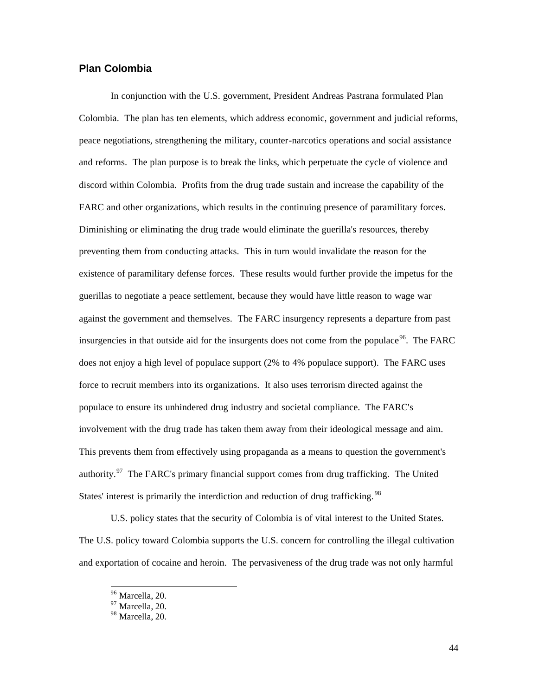#### **Plan Colombia**

In conjunction with the U.S. government, President Andreas Pastrana formulated Plan Colombia. The plan has ten elements, which address economic, government and judicial reforms, peace negotiations, strengthening the military, counter-narcotics operations and social assistance and reforms. The plan purpose is to break the links, which perpetuate the cycle of violence and discord within Colombia. Profits from the drug trade sustain and increase the capability of the FARC and other organizations, which results in the continuing presence of paramilitary forces. Diminishing or eliminating the drug trade would eliminate the guerilla's resources, thereby preventing them from conducting attacks. This in turn would invalidate the reason for the existence of paramilitary defense forces. These results would further provide the impetus for the guerillas to negotiate a peace settlement, because they would have little reason to wage war against the government and themselves. The FARC insurgency represents a departure from past insurgencies in that outside aid for the insurgents does not come from the populace  $96$ . The FARC does not enjoy a high level of populace support (2% to 4% populace support). The FARC uses force to recruit members into its organizations. It also uses terrorism directed against the populace to ensure its unhindered drug industry and societal compliance. The FARC's involvement with the drug trade has taken them away from their ideological message and aim. This prevents them from effectively using propaganda as a means to question the government's authority.<sup>97</sup> The FARC's primary financial support comes from drug trafficking. The United States' interest is primarily the interdiction and reduction of drug trafficking.<sup>98</sup>

U.S. policy states that the security of Colombia is of vital interest to the United States. The U.S. policy toward Colombia supports the U.S. concern for controlling the illegal cultivation and exportation of cocaine and heroin. The pervasiveness of the drug trade was not only harmful

<sup>&</sup>lt;sup>96</sup> Marcella, 20.

 $97 \text{ Marcella}, 20.$ 

<sup>98</sup> Marcella, 20.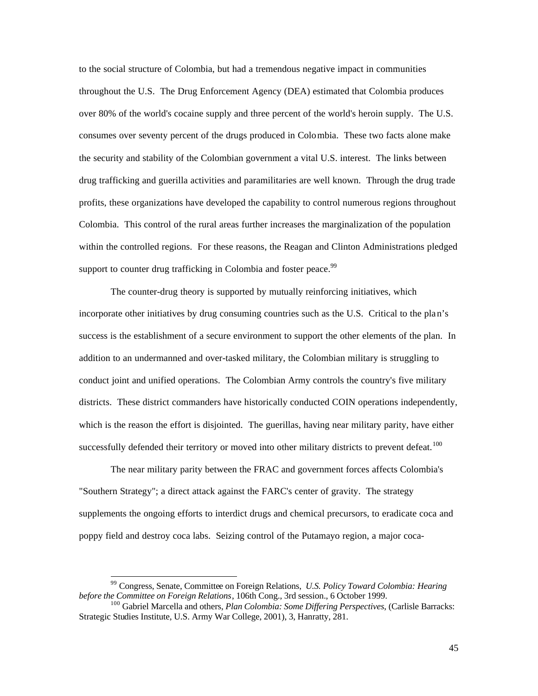to the social structure of Colombia, but had a tremendous negative impact in communities throughout the U.S. The Drug Enforcement Agency (DEA) estimated that Colombia produces over 80% of the world's cocaine supply and three percent of the world's heroin supply. The U.S. consumes over seventy percent of the drugs produced in Colombia. These two facts alone make the security and stability of the Colombian government a vital U.S. interest. The links between drug trafficking and guerilla activities and paramilitaries are well known. Through the drug trade profits, these organizations have developed the capability to control numerous regions throughout Colombia. This control of the rural areas further increases the marginalization of the population within the controlled regions. For these reasons, the Reagan and Clinton Administrations pledged support to counter drug trafficking in Colombia and foster peace.<sup>99</sup>

The counter-drug theory is supported by mutually reinforcing initiatives, which incorporate other initiatives by drug consuming countries such as the U.S. Critical to the plan's success is the establishment of a secure environment to support the other elements of the plan. In addition to an undermanned and over-tasked military, the Colombian military is struggling to conduct joint and unified operations. The Colombian Army controls the country's five military districts. These district commanders have historically conducted COIN operations independently, which is the reason the effort is disjointed. The guerillas, having near military parity, have either successfully defended their territory or moved into other military districts to prevent defeat.<sup>100</sup>

The near military parity between the FRAC and government forces affects Colombia's "Southern Strategy"; a direct attack against the FARC's center of gravity. The strategy supplements the ongoing efforts to interdict drugs and chemical precursors, to eradicate coca and poppy field and destroy coca labs. Seizing control of the Putamayo region, a major coca-

l

<sup>99</sup> Congress, Senate, Committee on Foreign Relations, *U.S. Policy Toward Colombia: Hearing before the Committee on Foreign Relations*, 106th Cong., 3rd session., 6 October 1999.

<sup>100</sup> Gabriel Marcella and others, *Plan Colombia: Some Differing Perspectives*, (Carlisle Barracks: Strategic Studies Institute, U.S. Army War College, 2001), 3, Hanratty, 281.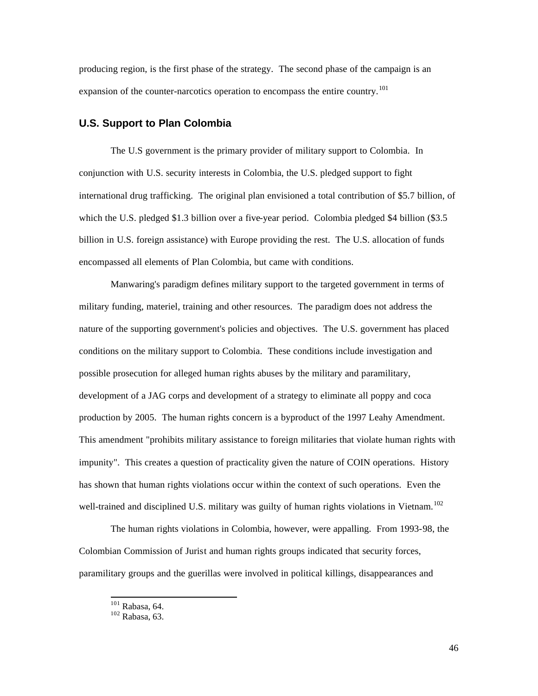producing region, is the first phase of the strategy. The second phase of the campaign is an expansion of the counter-narcotics operation to encompass the entire country.<sup>101</sup>

#### **U.S. Support to Plan Colombia**

The U.S government is the primary provider of military support to Colombia. In conjunction with U.S. security interests in Colombia, the U.S. pledged support to fight international drug trafficking. The original plan envisioned a total contribution of \$5.7 billion, of which the U.S. pledged \$1.3 billion over a five-year period. Colombia pledged \$4 billion (\$3.5) billion in U.S. foreign assistance) with Europe providing the rest. The U.S. allocation of funds encompassed all elements of Plan Colombia, but came with conditions.

Manwaring's paradigm defines military support to the targeted government in terms of military funding, materiel, training and other resources. The paradigm does not address the nature of the supporting government's policies and objectives. The U.S. government has placed conditions on the military support to Colombia. These conditions include investigation and possible prosecution for alleged human rights abuses by the military and paramilitary, development of a JAG corps and development of a strategy to eliminate all poppy and coca production by 2005. The human rights concern is a byproduct of the 1997 Leahy Amendment. This amendment "prohibits military assistance to foreign militaries that violate human rights with impunity". This creates a question of practicality given the nature of COIN operations. History has shown that human rights violations occur within the context of such operations. Even the well-trained and disciplined U.S. military was guilty of human rights violations in Vietnam.<sup>102</sup>

The human rights violations in Colombia, however, were appalling. From 1993-98, the Colombian Commission of Jurist and human rights groups indicated that security forces, paramilitary groups and the guerillas were involved in political killings, disappearances and

 $101$  Rabasa, 64.

 $102$  Rabasa, 63.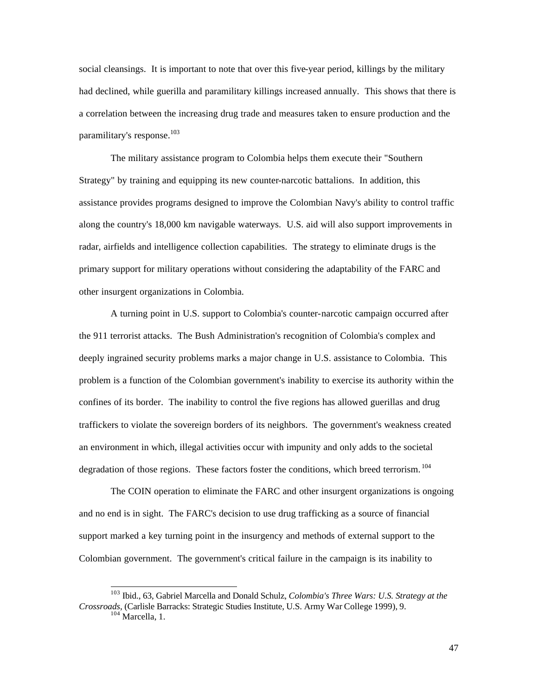social cleansings. It is important to note that over this five-year period, killings by the military had declined, while guerilla and paramilitary killings increased annually. This shows that there is a correlation between the increasing drug trade and measures taken to ensure production and the paramilitary's response.<sup>103</sup>

The military assistance program to Colombia helps them execute their "Southern Strategy" by training and equipping its new counter-narcotic battalions. In addition, this assistance provides programs designed to improve the Colombian Navy's ability to control traffic along the country's 18,000 km navigable waterways. U.S. aid will also support improvements in radar, airfields and intelligence collection capabilities. The strategy to eliminate drugs is the primary support for military operations without considering the adaptability of the FARC and other insurgent organizations in Colombia.

A turning point in U.S. support to Colombia's counter-narcotic campaign occurred after the 911 terrorist attacks. The Bush Administration's recognition of Colombia's complex and deeply ingrained security problems marks a major change in U.S. assistance to Colombia. This problem is a function of the Colombian government's inability to exercise its authority within the confines of its border. The inability to control the five regions has allowed guerillas and drug traffickers to violate the sovereign borders of its neighbors. The government's weakness created an environment in which, illegal activities occur with impunity and only adds to the societal degradation of those regions. These factors foster the conditions, which breed terrorism.<sup>104</sup>

The COIN operation to eliminate the FARC and other insurgent organizations is ongoing and no end is in sight. The FARC's decision to use drug trafficking as a source of financial support marked a key turning point in the insurgency and methods of external support to the Colombian government. The government's critical failure in the campaign is its inability to

<sup>103</sup> Ibid., 63, Gabriel Marcella and Donald Schulz, *Colombia's Three Wars: U.S. Strategy at the Crossroads*, (Carlisle Barracks: Strategic Studies Institute, U.S. Army War College 1999), 9.  $104$  Marcella, 1.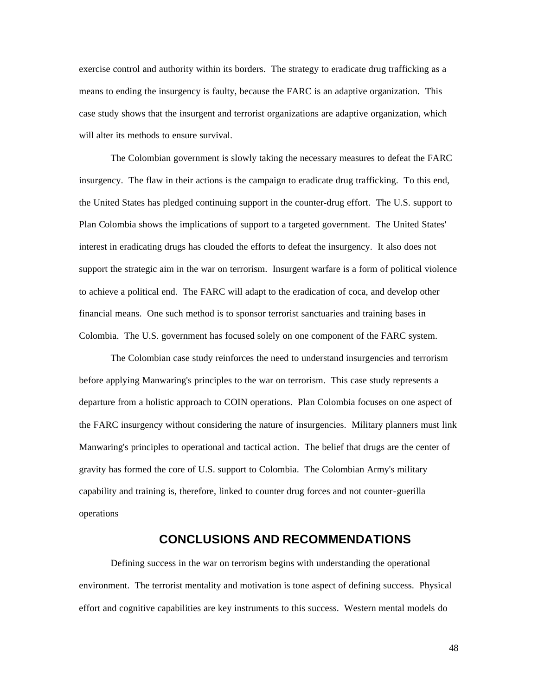exercise control and authority within its borders. The strategy to eradicate drug trafficking as a means to ending the insurgency is faulty, because the FARC is an adaptive organization. This case study shows that the insurgent and terrorist organizations are adaptive organization, which will alter its methods to ensure survival.

The Colombian government is slowly taking the necessary measures to defeat the FARC insurgency. The flaw in their actions is the campaign to eradicate drug trafficking. To this end, the United States has pledged continuing support in the counter-drug effort. The U.S. support to Plan Colombia shows the implications of support to a targeted government. The United States' interest in eradicating drugs has clouded the efforts to defeat the insurgency. It also does not support the strategic aim in the war on terrorism. Insurgent warfare is a form of political violence to achieve a political end. The FARC will adapt to the eradication of coca, and develop other financial means. One such method is to sponsor terrorist sanctuaries and training bases in Colombia. The U.S. government has focused solely on one component of the FARC system.

The Colombian case study reinforces the need to understand insurgencies and terrorism before applying Manwaring's principles to the war on terrorism. This case study represents a departure from a holistic approach to COIN operations. Plan Colombia focuses on one aspect of the FARC insurgency without considering the nature of insurgencies. Military planners must link Manwaring's principles to operational and tactical action. The belief that drugs are the center of gravity has formed the core of U.S. support to Colombia. The Colombian Army's military capability and training is, therefore, linked to counter drug forces and not counter-guerilla operations

## **CONCLUSIONS AND RECOMMENDATIONS**

Defining success in the war on terrorism begins with understanding the operational environment. The terrorist mentality and motivation is tone aspect of defining success. Physical effort and cognitive capabilities are key instruments to this success. Western mental models do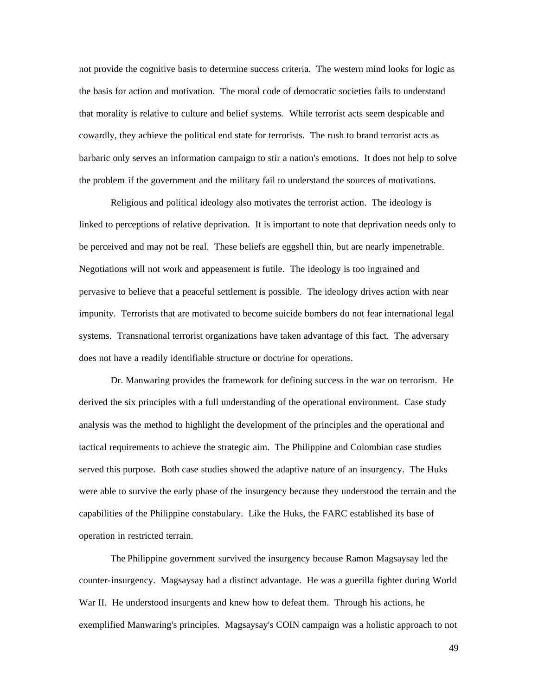not provide the cognitive basis to determine success criteria. The western mind looks for logic as the basis for action and motivation. The moral code of democratic societies fails to understand that morality is relative to culture and belief systems. While terrorist acts seem despicable and cowardly, they achieve the political end state for terrorists. The rush to brand terrorist acts as barbaric only serves an information campaign to stir a nation's emotions. It does not help to solve the problem if the government and the military fail to understand the sources of motivations.

Religious and political ideology also motivates the terrorist action. The ideology is linked to perceptions of relative deprivation. It is important to note that deprivation needs only to be perceived and may not be real. These beliefs are eggshell thin, but are nearly impenetrable. Negotiations will not work and appeasement is futile. The ideology is too ingrained and pervasive to believe that a peaceful settlement is possible. The ideology drives action with near impunity. Terrorists that are motivated to become suicide bombers do not fear international legal systems. Transnational terrorist organizations have taken advantage of this fact. The adversary does not have a readily identifiable structure or doctrine for operations.

Dr. Manwaring provides the framework for defining success in the war on terrorism. He derived the six principles with a full understanding of the operational environment. Case study analysis was the method to highlight the development of the principles and the operational and tactical requirements to achieve the strategic aim. The Philippine and Colombian case studies served this purpose. Both case studies showed the adaptive nature of an insurgency. The Huks were able to survive the early phase of the insurgency because they understood the terrain and the capabilities of the Philippine constabulary. Like the Huks, the FARC established its base of operation in restricted terrain.

The Philippine government survived the insurgency because Ramon Magsaysay led the counter-insurgency. Magsaysay had a distinct advantage. He was a guerilla fighter during World War II. He understood insurgents and knew how to defeat them. Through his actions, he exemplified Manwaring's principles. Magsaysay's COIN campaign was a holistic approach to not

49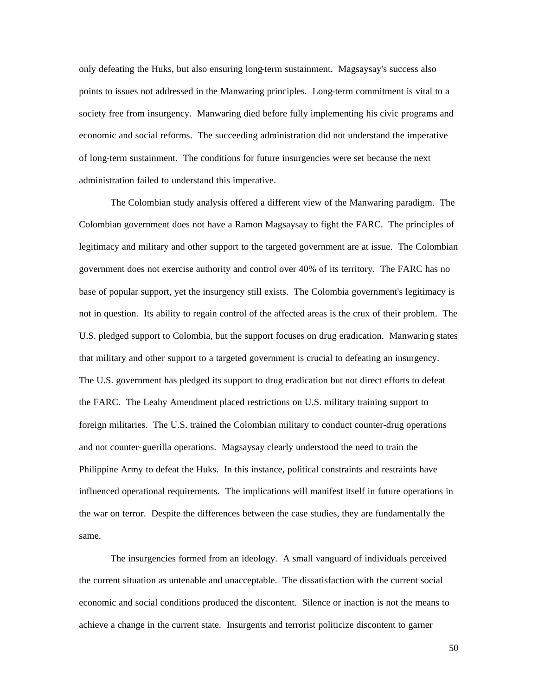only defeating the Huks, but also ensuring long-term sustainment. Magsaysay's success also points to issues not addressed in the Manwaring principles. Long-term commitment is vital to a society free from insurgency. Manwaring died before fully implementing his civic programs and economic and social reforms. The succeeding administration did not understand the imperative of long-term sustainment. The conditions for future insurgencies were set because the next administration failed to understand this imperative.

The Colombian study analysis offered a different view of the Manwaring paradigm. The Colombian government does not have a Ramon Magsaysay to fight the FARC. The principles of legitimacy and military and other support to the targeted government are at issue. The Colombian government does not exercise authority and control over 40% of its territory. The FARC has no base of popular support, yet the insurgency still exists. The Colombia government's legitimacy is not in question. Its ability to regain control of the affected areas is the crux of their problem. The U.S. pledged support to Colombia, but the support focuses on drug eradication. Manwaring states that military and other support to a targeted government is crucial to defeating an insurgency. The U.S. government has pledged its support to drug eradication but not direct efforts to defeat the FARC. The Leahy Amendment placed restrictions on U.S. military training support to foreign militaries. The U.S. trained the Colombian military to conduct counter-drug operations and not counter-guerilla operations. Magsaysay clearly understood the need to train the Philippine Army to defeat the Huks. In this instance, political constraints and restraints have influenced operational requirements. The implications will manifest itself in future operations in the war on terror. Despite the differences between the case studies, they are fundamentally the same.

The insurgencies formed from an ideology. A small vanguard of individuals perceived the current situation as untenable and unacceptable. The dissatisfaction with the current social economic and social conditions produced the discontent. Silence or inaction is not the means to achieve a change in the current state. Insurgents and terrorist politicize discontent to garner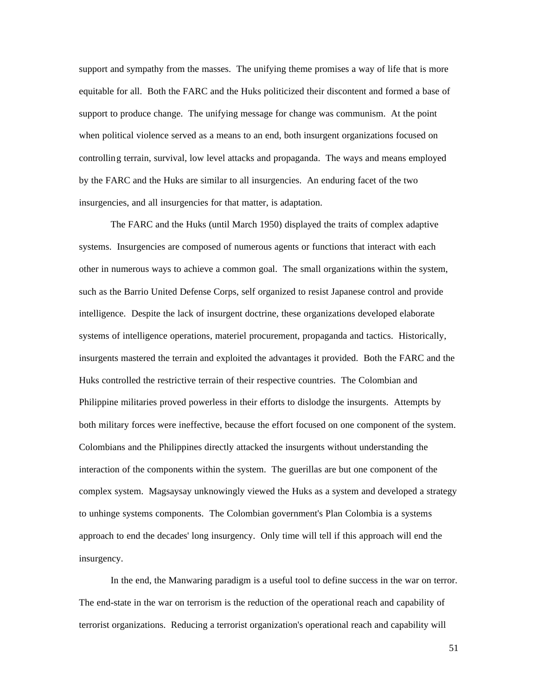support and sympathy from the masses. The unifying theme promises a way of life that is more equitable for all. Both the FARC and the Huks politicized their discontent and formed a base of support to produce change. The unifying message for change was communism. At the point when political violence served as a means to an end, both insurgent organizations focused on controlling terrain, survival, low level attacks and propaganda. The ways and means employed by the FARC and the Huks are similar to all insurgencies. An enduring facet of the two insurgencies, and all insurgencies for that matter, is adaptation.

The FARC and the Huks (until March 1950) displayed the traits of complex adaptive systems. Insurgencies are composed of numerous agents or functions that interact with each other in numerous ways to achieve a common goal. The small organizations within the system, such as the Barrio United Defense Corps, self organized to resist Japanese control and provide intelligence. Despite the lack of insurgent doctrine, these organizations developed elaborate systems of intelligence operations, materiel procurement, propaganda and tactics. Historically, insurgents mastered the terrain and exploited the advantages it provided. Both the FARC and the Huks controlled the restrictive terrain of their respective countries. The Colombian and Philippine militaries proved powerless in their efforts to dislodge the insurgents. Attempts by both military forces were ineffective, because the effort focused on one component of the system. Colombians and the Philippines directly attacked the insurgents without understanding the interaction of the components within the system. The guerillas are but one component of the complex system. Magsaysay unknowingly viewed the Huks as a system and developed a strategy to unhinge systems components. The Colombian government's Plan Colombia is a systems approach to end the decades' long insurgency. Only time will tell if this approach will end the insurgency.

In the end, the Manwaring paradigm is a useful tool to define success in the war on terror. The end-state in the war on terrorism is the reduction of the operational reach and capability of terrorist organizations. Reducing a terrorist organization's operational reach and capability will

51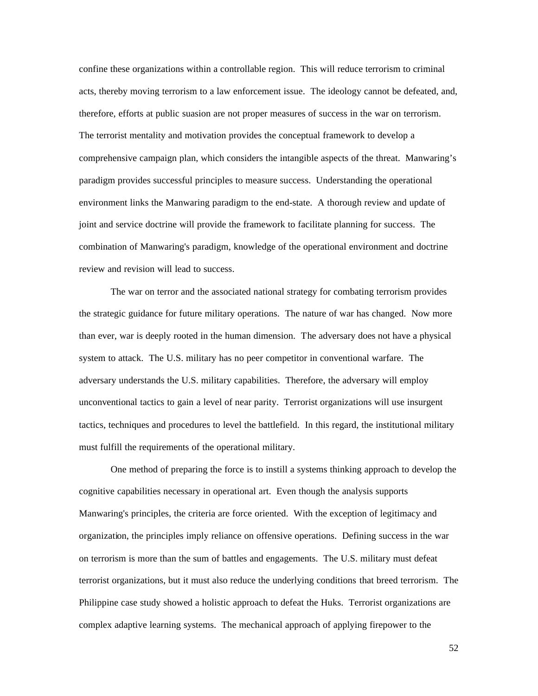confine these organizations within a controllable region. This will reduce terrorism to criminal acts, thereby moving terrorism to a law enforcement issue. The ideology cannot be defeated, and, therefore, efforts at public suasion are not proper measures of success in the war on terrorism. The terrorist mentality and motivation provides the conceptual framework to develop a comprehensive campaign plan, which considers the intangible aspects of the threat. Manwaring's paradigm provides successful principles to measure success. Understanding the operational environment links the Manwaring paradigm to the end-state. A thorough review and update of joint and service doctrine will provide the framework to facilitate planning for success. The combination of Manwaring's paradigm, knowledge of the operational environment and doctrine review and revision will lead to success.

The war on terror and the associated national strategy for combating terrorism provides the strategic guidance for future military operations. The nature of war has changed. Now more than ever, war is deeply rooted in the human dimension. The adversary does not have a physical system to attack. The U.S. military has no peer competitor in conventional warfare. The adversary understands the U.S. military capabilities. Therefore, the adversary will employ unconventional tactics to gain a level of near parity. Terrorist organizations will use insurgent tactics, techniques and procedures to level the battlefield. In this regard, the institutional military must fulfill the requirements of the operational military.

One method of preparing the force is to instill a systems thinking approach to develop the cognitive capabilities necessary in operational art. Even though the analysis supports Manwaring's principles, the criteria are force oriented. With the exception of legitimacy and organization, the principles imply reliance on offensive operations. Defining success in the war on terrorism is more than the sum of battles and engagements. The U.S. military must defeat terrorist organizations, but it must also reduce the underlying conditions that breed terrorism. The Philippine case study showed a holistic approach to defeat the Huks. Terrorist organizations are complex adaptive learning systems. The mechanical approach of applying firepower to the

52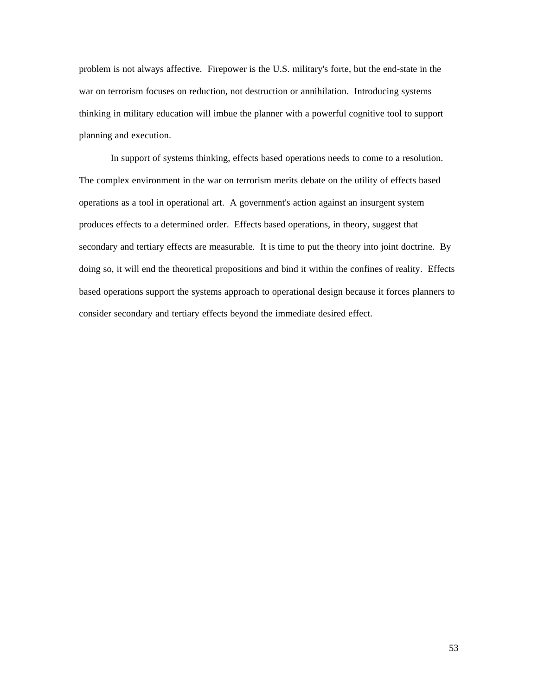problem is not always affective. Firepower is the U.S. military's forte, but the end-state in the war on terrorism focuses on reduction, not destruction or annihilation. Introducing systems thinking in military education will imbue the planner with a powerful cognitive tool to support planning and execution.

In support of systems thinking, effects based operations needs to come to a resolution. The complex environment in the war on terrorism merits debate on the utility of effects based operations as a tool in operational art. A government's action against an insurgent system produces effects to a determined order. Effects based operations, in theory, suggest that secondary and tertiary effects are measurable. It is time to put the theory into joint doctrine. By doing so, it will end the theoretical propositions and bind it within the confines of reality. Effects based operations support the systems approach to operational design because it forces planners to consider secondary and tertiary effects beyond the immediate desired effect.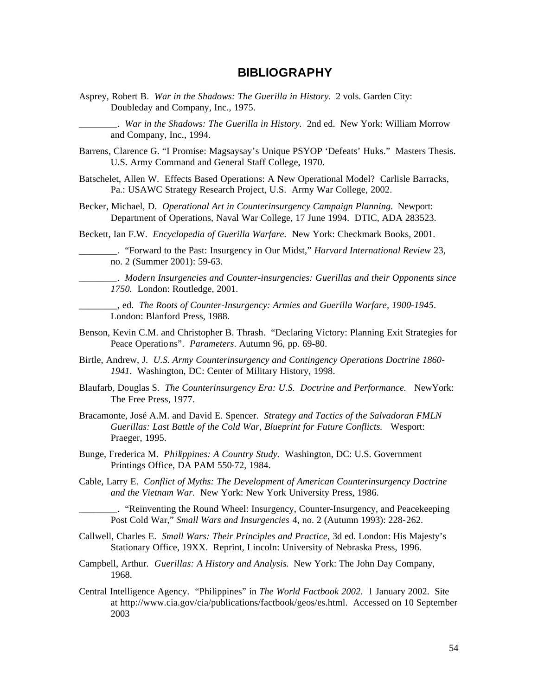## **BIBLIOGRAPHY**

Asprey, Robert B. *War in the Shadows: The Guerilla in History.* 2 vols. Garden City: Doubleday and Company, Inc., 1975.

\_\_\_\_\_\_\_\_. *War in the Shadows: The Guerilla in History.* 2nd ed. New York: William Morrow and Company, Inc., 1994.

- Barrens, Clarence G. "I Promise: Magsaysay's Unique PSYOP 'Defeats' Huks." Masters Thesis. U.S. Army Command and General Staff College, 1970.
- Batschelet, Allen W. Effects Based Operations: A New Operational Model? Carlisle Barracks, Pa.: USAWC Strategy Research Project, U.S. Army War College, 2002.
- Becker, Michael, D. *Operational Art in Counterinsurgency Campaign Planning.* Newport: Department of Operations, Naval War College, 17 June 1994. DTIC, ADA 283523.

Beckett, Ian F.W. *Encyclopedia of Guerilla Warfare.* New York: Checkmark Books, 2001.

\_\_\_\_\_\_\_\_. "Forward to the Past: Insurgency in Our Midst," *Harvard International Review* 23, no. 2 (Summer 2001): 59-63.

\_\_\_\_\_\_\_\_. *Modern Insurgencies and Counter-insurgencies: Guerillas and their Opponents since 1750.* London: Routledge, 2001.

\_\_\_\_\_\_\_\_, ed. *The Roots of Counter-Insurgency: Armies and Guerilla Warfare, 1900-1945*. London: Blanford Press, 1988.

- Benson, Kevin C.M. and Christopher B. Thrash. "Declaring Victory: Planning Exit Strategies for Peace Operations". *Parameters*. Autumn 96, pp. 69-80.
- Birtle, Andrew, J. *U.S. Army Counterinsurgency and Contingency Operations Doctrine 1860- 1941*. Washington, DC: Center of Military History, 1998.
- Blaufarb, Douglas S. *The Counterinsurgency Era: U.S. Doctrine and Performance.* NewYork: The Free Press, 1977.
- Bracamonte, José A.M. and David E. Spencer. *Strategy and Tactics of the Salvadoran FMLN Guerillas: Last Battle of the Cold War, Blueprint for Future Conflicts.* Wesport: Praeger, 1995.
- Bunge, Frederica M. *Philippines: A Country Study.* Washington, DC: U.S. Government Printings Office, DA PAM 550-72, 1984.
- Cable, Larry E. *Conflict of Myths: The Development of American Counterinsurgency Doctrine and the Vietnam War.* New York: New York University Press, 1986.

\_\_\_\_\_\_\_\_. "Reinventing the Round Wheel: Insurgency, Counter-Insurgency, and Peacekeeping Post Cold War," *Small Wars and Insurgencies* 4, no. 2 (Autumn 1993): 228-262.

- Callwell, Charles E. *Small Wars: Their Principles and Practice,* 3d ed. London: His Majesty's Stationary Office, 19XX. Reprint, Lincoln: University of Nebraska Press, 1996.
- Campbell, Arthur. *Guerillas: A History and Analysis*. New York: The John Day Company, 1968.
- Central Intelligence Agency. "Philippines" in *The World Factbook 2002*. 1 January 2002. Site at http://www.cia.gov/cia/publications/factbook/geos/es.html. Accessed on 10 September 2003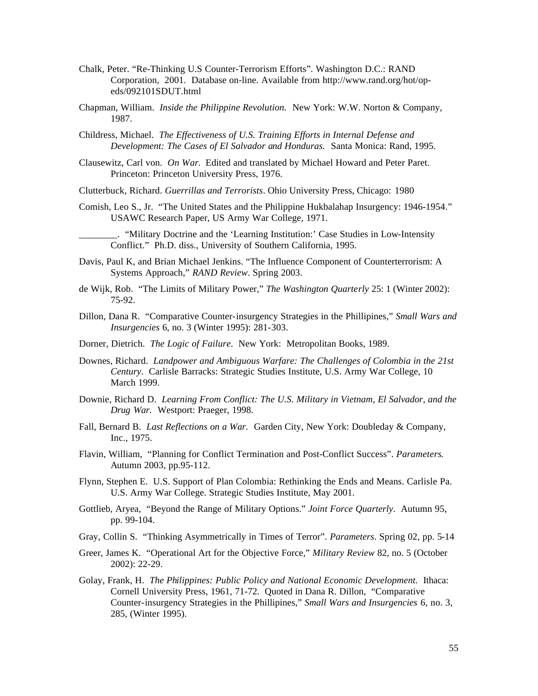- Chalk, Peter. "Re-Thinking U.S Counter-Terrorism Efforts". Washington D.C.: RAND Corporation, 2001. Database on-line. Available from http://www.rand.org/hot/opeds/092101SDUT.html
- Chapman, William. *Inside the Philippine Revolution.* New York: W.W. Norton & Company, 1987.
- Childress, Michael. *The Effectiveness of U.S. Training Efforts in Internal Defense and Development: The Cases of El Salvador and Honduras.* Santa Monica: Rand, 1995.
- Clausewitz, Carl von. *On War*. Edited and translated by Michael Howard and Peter Paret. Princeton: Princeton University Press, 1976.

Clutterbuck, Richard. *Guerrillas and Terrorists*. Ohio University Press, Chicago: 1980

Comish, Leo S., Jr. "The United States and the Philippine Hukbalahap Insurgency: 1946-1954." USAWC Research Paper, US Army War College, 1971.

\_\_\_\_\_\_\_\_. "Military Doctrine and the 'Learning Institution:' Case Studies in Low-Intensity Conflict." Ph.D. diss., University of Southern California, 1995.

- Davis, Paul K, and Brian Michael Jenkins. "The Influence Component of Counterterrorism: A Systems Approach," *RAND Review*. Spring 2003.
- de Wijk, Rob. "The Limits of Military Power," *The Washington Quarterly* 25: 1 (Winter 2002): 75-92.
- Dillon, Dana R. "Comparative Counter-insurgency Strategies in the Phillipines," *Small Wars and Insurgencies* 6, no. 3 (Winter 1995): 281-303.
- Dorner, Dietrich. *The Logic of Failure*. New York: Metropolitan Books, 1989.
- Downes, Richard. *Landpower and Ambiguous Warfare: The Challenges of Colombia in the 21st Century*. Carlisle Barracks: Strategic Studies Institute, U.S. Army War College, 10 March 1999.
- Downie, Richard D. *Learning From Conflict: The U.S. Military in Vietnam, El Salvador, and the Drug War.* Westport: Praeger, 1998.
- Fall, Bernard B. *Last Reflections on a War.* Garden City, New York: Doubleday & Company, Inc., 1975.
- Flavin, William, "Planning for Conflict Termination and Post-Conflict Success". *Parameters*. Autumn 2003, pp.95-112.
- Flynn, Stephen E. U.S. Support of Plan Colombia: Rethinking the Ends and Means. Carlisle Pa. U.S. Army War College. Strategic Studies Institute, May 2001.
- Gottlieb, Aryea, "Beyond the Range of Military Options." *Joint Force Quarterly*. Autumn 95, pp. 99-104.
- Gray, Collin S. "Thinking Asymmetrically in Times of Terror". *Parameters*. Spring 02, pp. 5-14
- Greer, James K. "Operational Art for the Objective Force," *Military Review* 82, no. 5 (October 2002): 22-29.
- Golay, Frank, H. *The Philippines: Public Policy and National Economic Development.* Ithaca: Cornell University Press, 1961, 71-72. Quoted in Dana R. Dillon, "Comparative Counter-insurgency Strategies in the Phillipines," *Small Wars and Insurgencies* 6, no. 3, 285, (Winter 1995).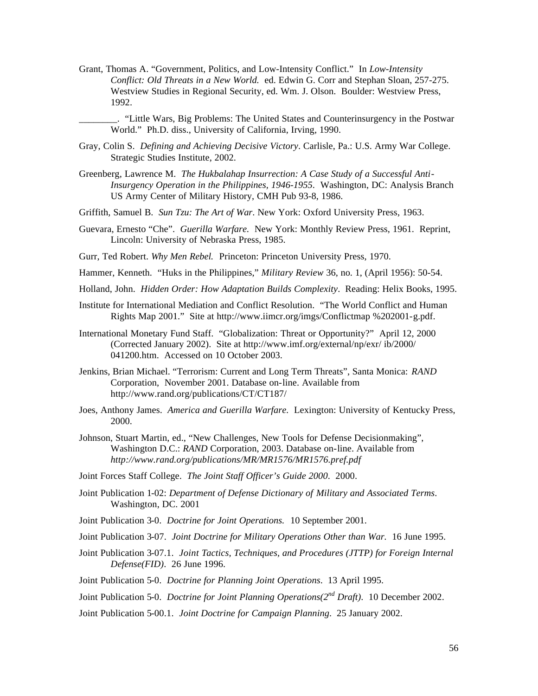- Grant, Thomas A. "Government, Politics, and Low-Intensity Conflict." In *Low-Intensity Conflict: Old Threats in a New World.* ed. Edwin G. Corr and Stephan Sloan, 257-275. Westview Studies in Regional Security, ed. Wm. J. Olson. Boulder: Westview Press, 1992.
	- \_\_\_\_\_\_\_\_. "Little Wars, Big Problems: The United States and Counterinsurgency in the Postwar World." Ph.D. diss., University of California, Irving, 1990.
- Gray, Colin S. *Defining and Achieving Decisive Victory*. Carlisle, Pa.: U.S. Army War College. Strategic Studies Institute, 2002.
- Greenberg, Lawrence M. *The Hukbalahap Insurrection: A Case Study of a Successful Anti-Insurgency Operation in the Philippines, 1946-1955*. Washington, DC: Analysis Branch US Army Center of Military History, CMH Pub 93-8, 1986.
- Griffith, Samuel B. *Sun Tzu: The Art of War*. New York: Oxford University Press, 1963.
- Guevara, Ernesto "Che". *Guerilla Warfare.* New York: Monthly Review Press, 1961. Reprint, Lincoln: University of Nebraska Press, 1985.
- Gurr, Ted Robert. *Why Men Rebel.* Princeton: Princeton University Press, 1970.
- Hammer, Kenneth. "Huks in the Philippines," *Military Review* 36, no. 1, (April 1956): 50-54.
- Holland, John. *Hidden Order: How Adaptation Builds Complexity*. Reading: Helix Books, 1995.
- Institute for International Mediation and Conflict Resolution. "The World Conflict and Human Rights Map 2001." Site at http://www.iimcr.org/imgs/Conflictmap %202001-g.pdf.
- International Monetary Fund Staff. "Globalization: Threat or Opportunity?" April 12, 2000 (Corrected January 2002). Site at http://www.imf.org/external/np/exr/ ib/2000/ 041200.htm. Accessed on 10 October 2003.
- Jenkins, Brian Michael. "Terrorism: Current and Long Term Threats", Santa Monica: *RAND*  Corporation, November 2001. Database on-line. Available from http://www.rand.org/publications/CT/CT187/
- Joes, Anthony James. *America and Guerilla Warfare.* Lexington: University of Kentucky Press, 2000.
- Johnson, Stuart Martin, ed., "New Challenges, New Tools for Defense Decisionmaking", Washington D.C.: *RAND* Corporation, 2003. Database on-line. Available from *http://www.rand.org/publications/MR/MR1576/MR1576.pref.pdf*
- Joint Forces Staff College. *The Joint Staff Officer's Guide 2000*. 2000.
- Joint Publication 1-02: *Department of Defense Dictionary of Military and Associated Terms*. Washington, DC. 2001
- Joint Publication 3-0. *Doctrine for Joint Operations.* 10 September 2001.
- Joint Publication 3-07. *Joint Doctrine for Military Operations Other than War.* 16 June 1995.
- Joint Publication 3-07.1. *Joint Tactics, Techniques, and Procedures (JTTP) for Foreign Internal Defense(FID)*. 26 June 1996.
- Joint Publication 5-0. *Doctrine for Planning Joint Operations*. 13 April 1995.
- Joint Publication 5-0. *Doctrine for Joint Planning Operations(2nd Draft)*. 10 December 2002.
- Joint Publication 5-00.1. *Joint Doctrine for Campaign Planning*. 25 January 2002.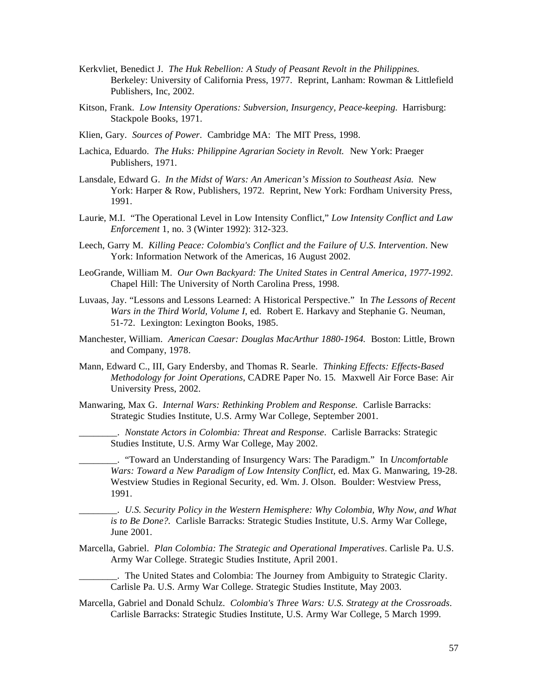- Kerkvliet, Benedict J. *The Huk Rebellion: A Study of Peasant Revolt in the Philippines.* Berkeley: University of California Press, 1977. Reprint, Lanham: Rowman & Littlefield Publishers, Inc, 2002.
- Kitson, Frank. *Low Intensity Operations: Subversion, Insurgency, Peace-keeping.* Harrisburg: Stackpole Books, 1971.
- Klien, Gary. *Sources of Power*. Cambridge MA: The MIT Press, 1998.
- Lachica, Eduardo. *The Huks: Philippine Agrarian Society in Revolt.* New York: Praeger Publishers, 1971.
- Lansdale, Edward G. *In the Midst of Wars: An American's Mission to Southeast Asia.* New York: Harper & Row, Publishers, 1972. Reprint, New York: Fordham University Press, 1991.
- Laurie, M.I. "The Operational Level in Low Intensity Conflict," *Low Intensity Conflict and Law Enforcement* 1, no. 3 (Winter 1992): 312-323.
- Leech, Garry M. *Killing Peace: Colombia's Conflict and the Failure of U.S. Intervention*. New York: Information Network of the Americas, 16 August 2002.
- LeoGrande, William M. *Our Own Backyard: The United States in Central America, 1977-1992*. Chapel Hill: The University of North Carolina Press, 1998.
- Luvaas, Jay. "Lessons and Lessons Learned: A Historical Perspective." In *The Lessons of Recent Wars in the Third World, Volume I*, ed. Robert E. Harkavy and Stephanie G. Neuman, 51-72. Lexington: Lexington Books, 1985.
- Manchester, William. *American Caesar: Douglas MacArthur 1880-1964.* Boston: Little, Brown and Company, 1978.
- Mann, Edward C., III, Gary Endersby, and Thomas R. Searle. *Thinking Effects: Effects-Based Methodology for Joint Operations*, CADRE Paper No. 15*.* Maxwell Air Force Base: Air University Press, 2002.
- Manwaring, Max G. *Internal Wars: Rethinking Problem and Response.* Carlisle Barracks: Strategic Studies Institute, U.S. Army War College, September 2001.
	- \_\_\_\_\_\_\_\_. *Nonstate Actors in Colombia: Threat and Response*. Carlisle Barracks: Strategic Studies Institute, U.S. Army War College, May 2002.

\_\_\_\_\_\_\_\_. "Toward an Understanding of Insurgency Wars: The Paradigm." In *Uncomfortable Wars: Toward a New Paradigm of Low Intensity Conflict,* ed. Max G. Manwaring, 19-28. Westview Studies in Regional Security, ed. Wm. J. Olson. Boulder: Westview Press, 1991.

\_\_\_\_\_\_\_\_. *U.S. Security Policy in the Western Hemisphere: Why Colombia, Why Now, and What is to Be Done?.* Carlisle Barracks: Strategic Studies Institute, U.S. Army War College, June 2001.

Marcella, Gabriel. *Plan Colombia: The Strategic and Operational Imperatives*. Carlisle Pa. U.S. Army War College. Strategic Studies Institute, April 2001.

\_\_\_\_\_\_\_\_. The United States and Colombia: The Journey from Ambiguity to Strategic Clarity. Carlisle Pa. U.S. Army War College. Strategic Studies Institute, May 2003.

Marcella, Gabriel and Donald Schulz. *Colombia's Three Wars: U.S. Strategy at the Crossroads*. Carlisle Barracks: Strategic Studies Institute, U.S. Army War College, 5 March 1999.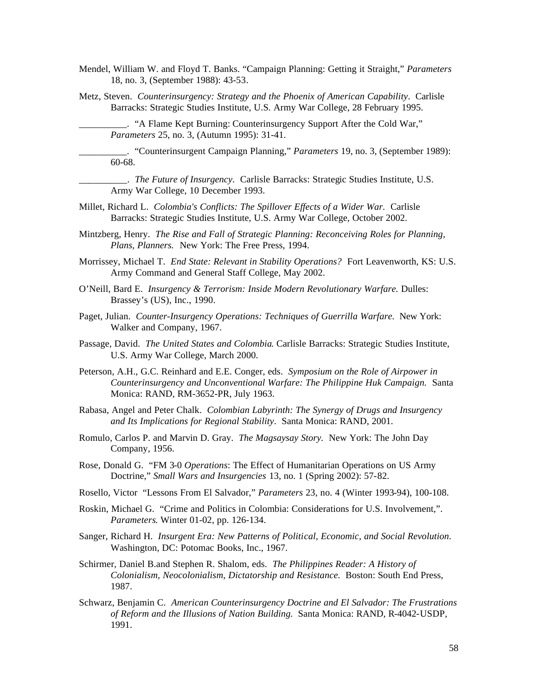- Mendel, William W. and Floyd T. Banks. "Campaign Planning: Getting it Straight," *Parameters*  18, no. 3, (September 1988): 43-53.
- Metz, Steven. *Counterinsurgency: Strategy and the Phoenix of American Capability*. Carlisle Barracks: Strategic Studies Institute, U.S. Army War College, 28 February 1995.

\_\_\_\_\_\_\_\_\_\_. "A Flame Kept Burning: Counterinsurgency Support After the Cold War," *Parameters* 25, no. 3, (Autumn 1995): 31-41.

\_\_\_\_\_\_\_\_\_\_. "Counterinsurgent Campaign Planning," *Parameters* 19, no. 3, (September 1989): 60-68.

\_\_\_\_\_\_\_\_\_\_. *The Future of Insurgency*. Carlisle Barracks: Strategic Studies Institute, U.S. Army War College, 10 December 1993.

- Millet, Richard L. *Colombia's Conflicts: The Spillover Effects of a Wider War.* Carlisle Barracks: Strategic Studies Institute, U.S. Army War College, October 2002.
- Mintzberg, Henry. *The Rise and Fall of Strategic Planning: Reconceiving Roles for Planning, Plans, Planners.* New York: The Free Press, 1994.
- Morrissey, Michael T. *End State: Relevant in Stability Operations?* Fort Leavenworth, KS: U.S. Army Command and General Staff College, May 2002.
- O'Neill, Bard E. *Insurgency & Terrorism: Inside Modern Revolutionary Warfare.* Dulles: Brassey's (US), Inc., 1990.
- Paget, Julian. *Counter-Insurgency Operations: Techniques of Guerrilla Warfare.* New York: Walker and Company, 1967.
- Passage, David. *The United States and Colombia*. Carlisle Barracks: Strategic Studies Institute, U.S. Army War College, March 2000.
- Peterson, A.H., G.C. Reinhard and E.E. Conger, eds. *Symposium on the Role of Airpower in Counterinsurgency and Unconventional Warfare: The Philippine Huk Campaign.* Santa Monica: RAND, RM-3652-PR, July 1963.
- Rabasa, Angel and Peter Chalk. *Colombian Labyrinth: The Synergy of Drugs and Insurgency and Its Implications for Regional Stability*. Santa Monica: RAND, 2001.
- Romulo, Carlos P. and Marvin D. Gray. *The Magsaysay Story.* New York: The John Day Company, 1956.
- Rose, Donald G. "FM 3-0 *Operations*: The Effect of Humanitarian Operations on US Army Doctrine," *Small Wars and Insurgencies* 13, no. 1 (Spring 2002): 57-82.
- Rosello, Victor "Lessons From El Salvador," *Parameters* 23, no. 4 (Winter 1993-94), 100-108.
- Roskin, Michael G. "Crime and Politics in Colombia: Considerations for U.S. Involvement,". *Parameters*. Winter 01-02, pp. 126-134.
- Sanger, Richard H. *Insurgent Era: New Patterns of Political, Economic, and Social Revolution*. Washington, DC: Potomac Books, Inc., 1967.
- Schirmer, Daniel B.and Stephen R. Shalom, eds. *The Philippines Reader: A History of Colonialism, Neocolonialism, Dictatorship and Resistance.* Boston: South End Press, 1987.
- Schwarz, Benjamin C. *American Counterinsurgency Doctrine and El Salvador: The Frustrations of Reform and the Illusions of Nation Building.* Santa Monica: RAND, R-4042-USDP, 1991.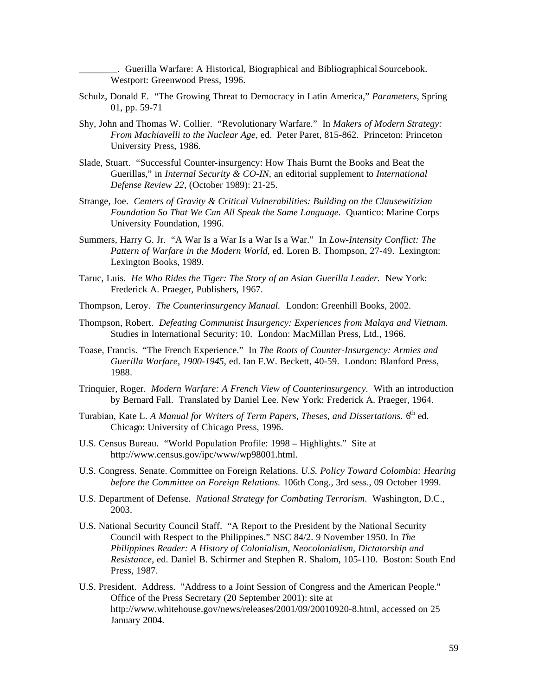\_\_\_\_\_\_\_\_. Guerilla Warfare: A Historical, Biographical and Bibliographical Sourcebook. Westport: Greenwood Press, 1996.

- Schulz, Donald E. "The Growing Threat to Democracy in Latin America," *Parameters*, Spring 01, pp. 59-71
- Shy, John and Thomas W. Collier. "Revolutionary Warfare." In *Makers of Modern Strategy: From Machiavelli to the Nuclear Age*, ed. Peter Paret, 815-862. Princeton: Princeton University Press, 1986.
- Slade, Stuart. "Successful Counter-insurgency: How Thais Burnt the Books and Beat the Guerillas," in *Internal Security & CO-IN,* an editorial supplement to *International Defense Review 22,* (October 1989): 21-25.
- Strange, Joe. *Centers of Gravity & Critical Vulnerabilities: Building on the Clausewitizian Foundation So That We Can All Speak the Same Language.* Quantico: Marine Corps University Foundation, 1996.
- Summers, Harry G. Jr. "A War Is a War Is a War Is a War." In *Low-Intensity Conflict: The Pattern of Warfare in the Modern World,* ed. Loren B. Thompson, 27-49. Lexington: Lexington Books, 1989.
- Taruc, Luis. *He Who Rides the Tiger: The Story of an Asian Guerilla Leader.* New York: Frederick A. Praeger, Publishers, 1967.
- Thompson, Leroy. *The Counterinsurgency Manual.* London: Greenhill Books, 2002.
- Thompson, Robert. *Defeating Communist Insurgency: Experiences from Malaya and Vietnam.* Studies in International Security: 10. London: MacMillan Press, Ltd., 1966.
- Toase, Francis. "The French Experience." In *The Roots of Counter-Insurgency: Armies and Guerilla Warfare, 1900-1945*, ed. Ian F.W. Beckett, 40-59.London: Blanford Press, 1988.
- Trinquier, Roger. *Modern Warfare: A French View of Counterinsurgency*. With an introduction by Bernard Fall. Translated by Daniel Lee. New York: Frederick A. Praeger, 1964.
- Turabian, Kate L. *A Manual for Writers of Term Papers, Theses, and Dissertations.* 6<sup>th</sup> ed. Chicago: University of Chicago Press, 1996.
- U.S. Census Bureau. "World Population Profile: 1998 Highlights." Site at http://www.census.gov/ipc/www/wp98001.html.
- U.S. Congress. Senate. Committee on Foreign Relations. *U.S. Policy Toward Colombia: Hearing before the Committee on Foreign Relations.* 106th Cong., 3rd sess., 09 October 1999.
- U.S. Department of Defense. *National Strategy for Combating Terrorism*. Washington, D.C., 2003.
- U.S. National Security Council Staff. "A Report to the President by the National Security Council with Respect to the Philippines." NSC 84/2. 9 November 1950. In *The Philippines Reader: A History of Colonialism, Neocolonialism, Dictatorship and Resistance*, ed. Daniel B. Schirmer and Stephen R. Shalom, 105-110. Boston: South End Press, 1987.
- U.S. President. Address. "Address to a Joint Session of Congress and the American People." Office of the Press Secretary (20 September 2001): site at http://www.whitehouse.gov/news/releases/2001/09/20010920-8.html, accessed on 25 January 2004.